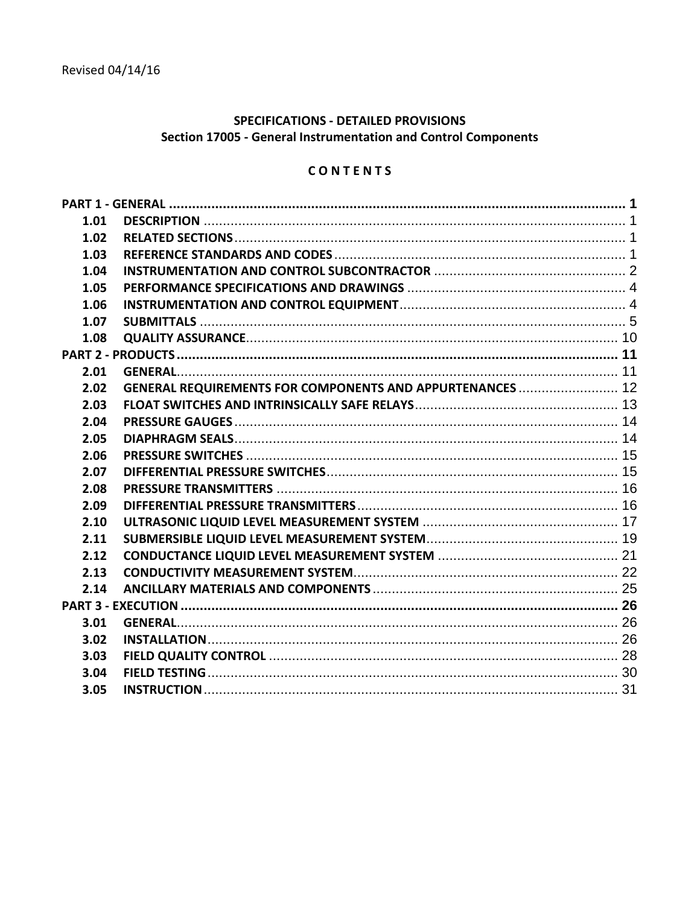# **SPECIFICATIONS - DETAILED PROVISIONS** Section 17005 - General Instrumentation and Control Components

# CONTENTS

| 1.01 |                                                                  |  |
|------|------------------------------------------------------------------|--|
| 1.02 |                                                                  |  |
| 1.03 |                                                                  |  |
| 1.04 |                                                                  |  |
| 1.05 |                                                                  |  |
| 1.06 |                                                                  |  |
| 1.07 |                                                                  |  |
| 1.08 |                                                                  |  |
|      |                                                                  |  |
| 2.01 |                                                                  |  |
| 2.02 | <b>GENERAL REQUIREMENTS FOR COMPONENTS AND APPURTENANCES  12</b> |  |
| 2.03 |                                                                  |  |
| 2.04 |                                                                  |  |
| 2.05 |                                                                  |  |
| 2.06 |                                                                  |  |
| 2.07 |                                                                  |  |
| 2.08 |                                                                  |  |
| 2.09 |                                                                  |  |
| 2.10 |                                                                  |  |
| 2.11 |                                                                  |  |
| 2.12 |                                                                  |  |
| 2.13 |                                                                  |  |
| 2.14 |                                                                  |  |
|      |                                                                  |  |
| 3.01 |                                                                  |  |
| 3.02 |                                                                  |  |
| 3.03 |                                                                  |  |
| 3.04 |                                                                  |  |
| 3.05 |                                                                  |  |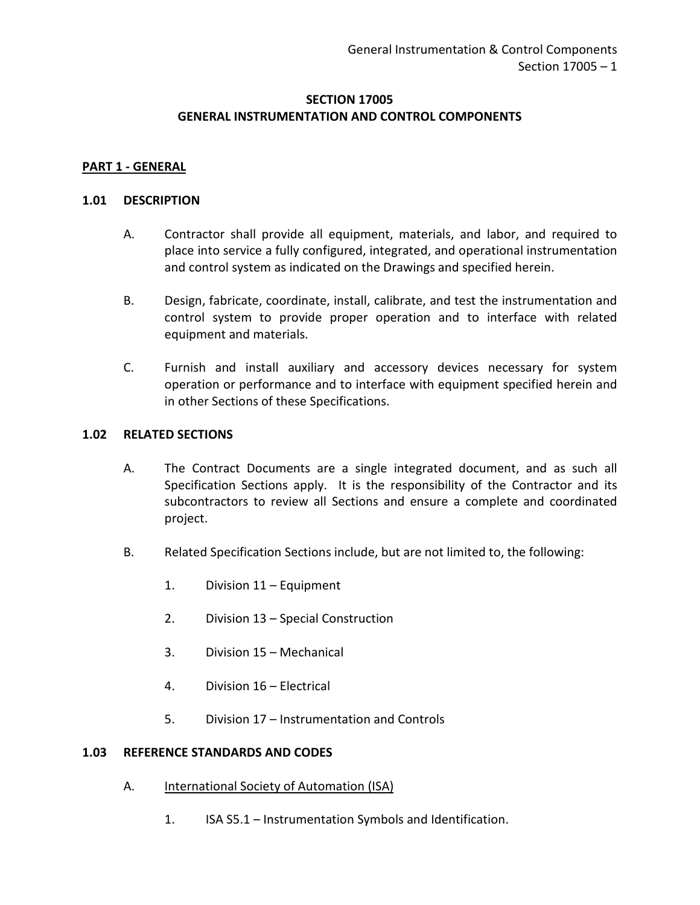## **SECTION 17005 GENERAL INSTRUMENTATION AND CONTROL COMPONENTS**

## <span id="page-2-0"></span>**PART 1 - GENERAL**

#### <span id="page-2-1"></span>**1.01 DESCRIPTION**

- A. Contractor shall provide all equipment, materials, and labor, and required to place into service a fully configured, integrated, and operational instrumentation and control system as indicated on the Drawings and specified herein.
- B. Design, fabricate, coordinate, install, calibrate, and test the instrumentation and control system to provide proper operation and to interface with related equipment and materials.
- C. Furnish and install auxiliary and accessory devices necessary for system operation or performance and to interface with equipment specified herein and in other Sections of these Specifications.

### <span id="page-2-2"></span>**1.02 RELATED SECTIONS**

- A. The Contract Documents are a single integrated document, and as such all Specification Sections apply. It is the responsibility of the Contractor and its subcontractors to review all Sections and ensure a complete and coordinated project.
- B. Related Specification Sections include, but are not limited to, the following:
	- 1. Division 11 Equipment
	- 2. Division 13 Special Construction
	- 3. Division 15 Mechanical
	- 4. Division 16 Electrical
	- 5. Division 17 Instrumentation and Controls

#### <span id="page-2-3"></span>**1.03 REFERENCE STANDARDS AND CODES**

- A. International Society of Automation (ISA)
	- 1. ISA S5.1 Instrumentation Symbols and Identification.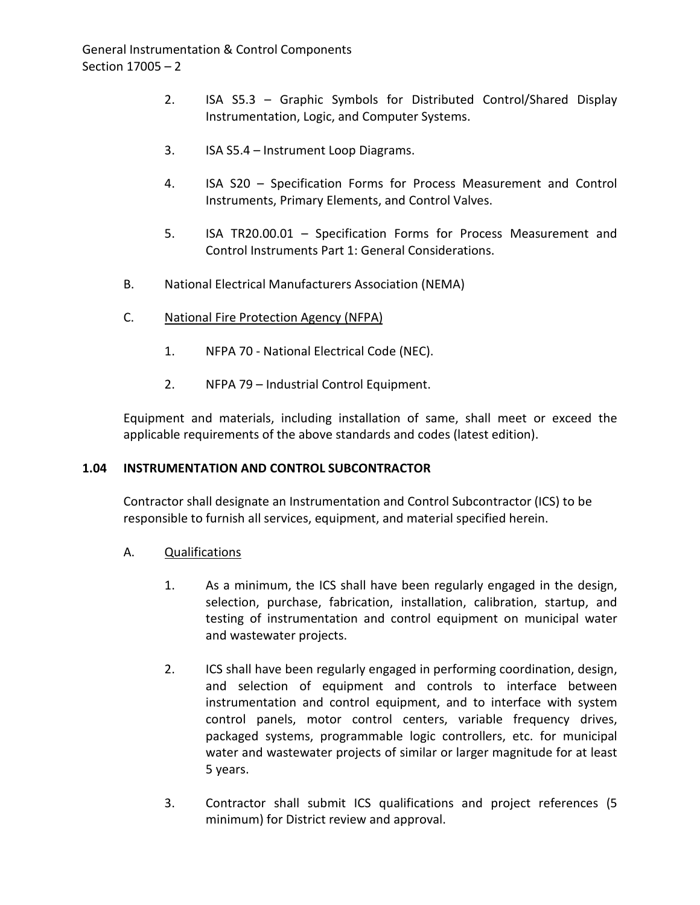- 2. ISA S5.3 Graphic Symbols for Distributed Control/Shared Display Instrumentation, Logic, and Computer Systems.
- 3. ISA S5.4 Instrument Loop Diagrams.
- 4. ISA S20 Specification Forms for Process Measurement and Control Instruments, Primary Elements, and Control Valves.
- 5. ISA TR20.00.01 Specification Forms for Process Measurement and Control Instruments Part 1: General Considerations.
- B. National Electrical Manufacturers Association (NEMA)
- C. National Fire Protection Agency (NFPA)
	- 1. NFPA 70 National Electrical Code (NEC).
	- 2. NFPA 79 Industrial Control Equipment.

Equipment and materials, including installation of same, shall meet or exceed the applicable requirements of the above standards and codes (latest edition).

## <span id="page-3-0"></span>**1.04 INSTRUMENTATION AND CONTROL SUBCONTRACTOR**

Contractor shall designate an Instrumentation and Control Subcontractor (ICS) to be responsible to furnish all services, equipment, and material specified herein.

## A. Qualifications

- 1. As a minimum, the ICS shall have been regularly engaged in the design, selection, purchase, fabrication, installation, calibration, startup, and testing of instrumentation and control equipment on municipal water and wastewater projects.
- 2. ICS shall have been regularly engaged in performing coordination, design, and selection of equipment and controls to interface between instrumentation and control equipment, and to interface with system control panels, motor control centers, variable frequency drives, packaged systems, programmable logic controllers, etc. for municipal water and wastewater projects of similar or larger magnitude for at least 5 years.
- 3. Contractor shall submit ICS qualifications and project references (5 minimum) for District review and approval.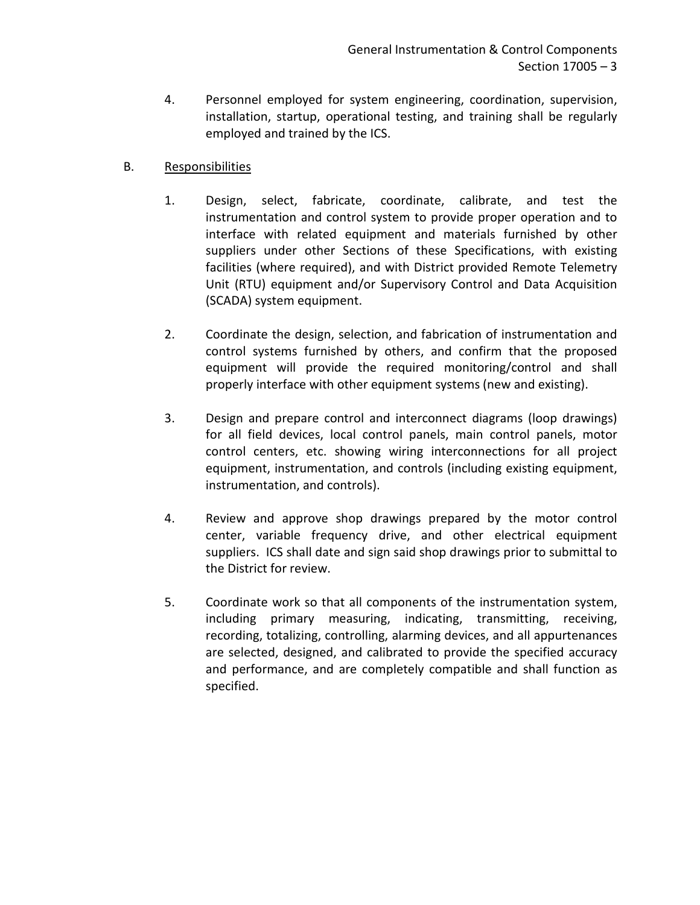4. Personnel employed for system engineering, coordination, supervision, installation, startup, operational testing, and training shall be regularly employed and trained by the ICS.

## B. Responsibilities

- 1. Design, select, fabricate, coordinate, calibrate, and test the instrumentation and control system to provide proper operation and to interface with related equipment and materials furnished by other suppliers under other Sections of these Specifications, with existing facilities (where required), and with District provided Remote Telemetry Unit (RTU) equipment and/or Supervisory Control and Data Acquisition (SCADA) system equipment.
- 2. Coordinate the design, selection, and fabrication of instrumentation and control systems furnished by others, and confirm that the proposed equipment will provide the required monitoring/control and shall properly interface with other equipment systems (new and existing).
- 3. Design and prepare control and interconnect diagrams (loop drawings) for all field devices, local control panels, main control panels, motor control centers, etc. showing wiring interconnections for all project equipment, instrumentation, and controls (including existing equipment, instrumentation, and controls).
- 4. Review and approve shop drawings prepared by the motor control center, variable frequency drive, and other electrical equipment suppliers. ICS shall date and sign said shop drawings prior to submittal to the District for review.
- 5. Coordinate work so that all components of the instrumentation system, including primary measuring, indicating, transmitting, receiving, recording, totalizing, controlling, alarming devices, and all appurtenances are selected, designed, and calibrated to provide the specified accuracy and performance, and are completely compatible and shall function as specified.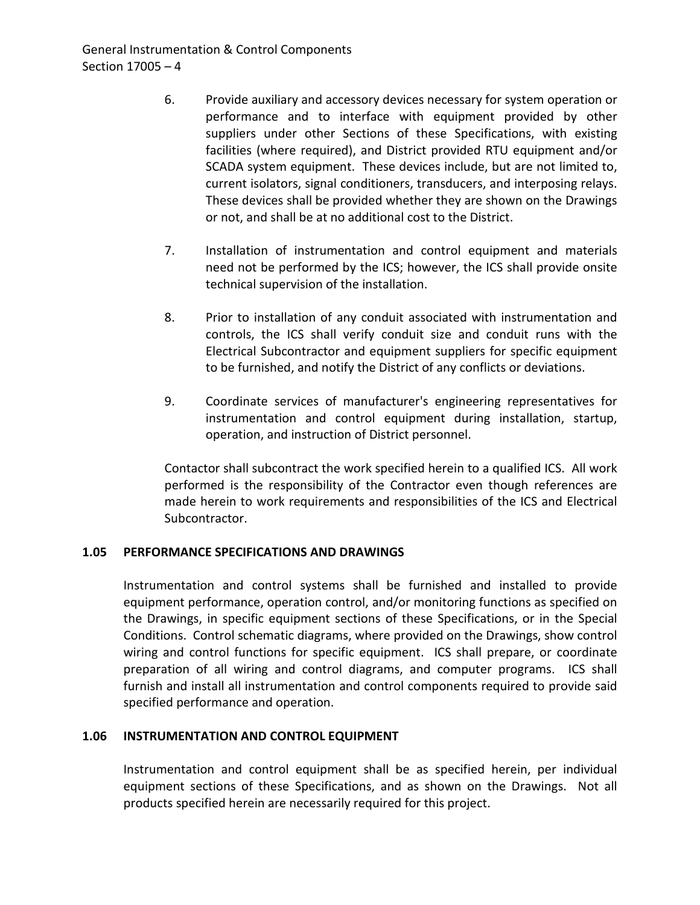- 6. Provide auxiliary and accessory devices necessary for system operation or performance and to interface with equipment provided by other suppliers under other Sections of these Specifications, with existing facilities (where required), and District provided RTU equipment and/or SCADA system equipment. These devices include, but are not limited to, current isolators, signal conditioners, transducers, and interposing relays. These devices shall be provided whether they are shown on the Drawings or not, and shall be at no additional cost to the District.
- 7. Installation of instrumentation and control equipment and materials need not be performed by the ICS; however, the ICS shall provide onsite technical supervision of the installation.
- 8. Prior to installation of any conduit associated with instrumentation and controls, the ICS shall verify conduit size and conduit runs with the Electrical Subcontractor and equipment suppliers for specific equipment to be furnished, and notify the District of any conflicts or deviations.
- 9. Coordinate services of manufacturer's engineering representatives for instrumentation and control equipment during installation, startup, operation, and instruction of District personnel.

Contactor shall subcontract the work specified herein to a qualified ICS. All work performed is the responsibility of the Contractor even though references are made herein to work requirements and responsibilities of the ICS and Electrical Subcontractor.

## <span id="page-5-0"></span>**1.05 PERFORMANCE SPECIFICATIONS AND DRAWINGS**

Instrumentation and control systems shall be furnished and installed to provide equipment performance, operation control, and/or monitoring functions as specified on the Drawings, in specific equipment sections of these Specifications, or in the Special Conditions. Control schematic diagrams, where provided on the Drawings, show control wiring and control functions for specific equipment. ICS shall prepare, or coordinate preparation of all wiring and control diagrams, and computer programs. ICS shall furnish and install all instrumentation and control components required to provide said specified performance and operation.

## <span id="page-5-1"></span>**1.06 INSTRUMENTATION AND CONTROL EQUIPMENT**

Instrumentation and control equipment shall be as specified herein, per individual equipment sections of these Specifications, and as shown on the Drawings. Not all products specified herein are necessarily required for this project.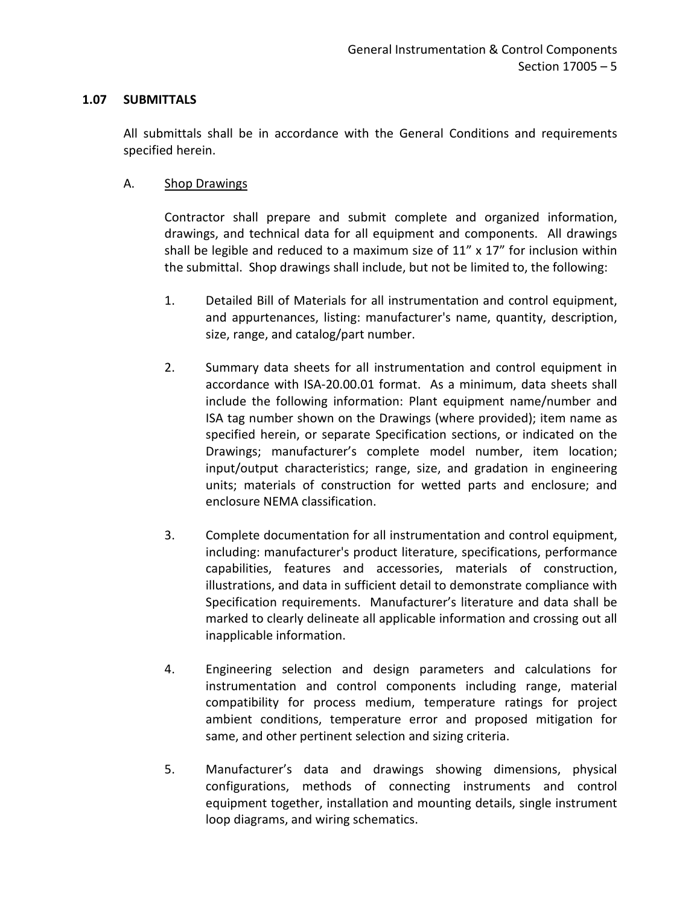### <span id="page-6-0"></span>**1.07 SUBMITTALS**

All submittals shall be in accordance with the General Conditions and requirements specified herein.

### A. Shop Drawings

Contractor shall prepare and submit complete and organized information, drawings, and technical data for all equipment and components. All drawings shall be legible and reduced to a maximum size of  $11''$  x  $17''$  for inclusion within the submittal. Shop drawings shall include, but not be limited to, the following:

- 1. Detailed Bill of Materials for all instrumentation and control equipment, and appurtenances, listing: manufacturer's name, quantity, description, size, range, and catalog/part number.
- 2. Summary data sheets for all instrumentation and control equipment in accordance with ISA-20.00.01 format. As a minimum, data sheets shall include the following information: Plant equipment name/number and ISA tag number shown on the Drawings (where provided); item name as specified herein, or separate Specification sections, or indicated on the Drawings; manufacturer's complete model number, item location; input/output characteristics; range, size, and gradation in engineering units; materials of construction for wetted parts and enclosure; and enclosure NEMA classification.
- 3. Complete documentation for all instrumentation and control equipment, including: manufacturer's product literature, specifications, performance capabilities, features and accessories, materials of construction, illustrations, and data in sufficient detail to demonstrate compliance with Specification requirements. Manufacturer's literature and data shall be marked to clearly delineate all applicable information and crossing out all inapplicable information.
- 4. Engineering selection and design parameters and calculations for instrumentation and control components including range, material compatibility for process medium, temperature ratings for project ambient conditions, temperature error and proposed mitigation for same, and other pertinent selection and sizing criteria.
- 5. Manufacturer's data and drawings showing dimensions, physical configurations, methods of connecting instruments and control equipment together, installation and mounting details, single instrument loop diagrams, and wiring schematics.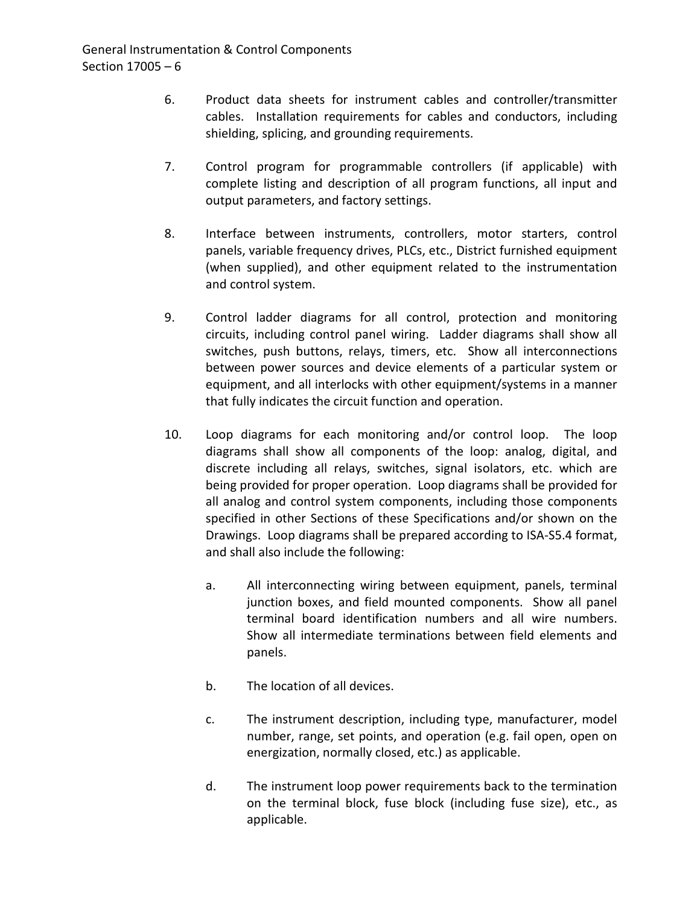- 6. Product data sheets for instrument cables and controller/transmitter cables. Installation requirements for cables and conductors, including shielding, splicing, and grounding requirements.
- 7. Control program for programmable controllers (if applicable) with complete listing and description of all program functions, all input and output parameters, and factory settings.
- 8. Interface between instruments, controllers, motor starters, control panels, variable frequency drives, PLCs, etc., District furnished equipment (when supplied), and other equipment related to the instrumentation and control system.
- 9. Control ladder diagrams for all control, protection and monitoring circuits, including control panel wiring. Ladder diagrams shall show all switches, push buttons, relays, timers, etc. Show all interconnections between power sources and device elements of a particular system or equipment, and all interlocks with other equipment/systems in a manner that fully indicates the circuit function and operation.
- 10. Loop diagrams for each monitoring and/or control loop. The loop diagrams shall show all components of the loop: analog, digital, and discrete including all relays, switches, signal isolators, etc. which are being provided for proper operation. Loop diagrams shall be provided for all analog and control system components, including those components specified in other Sections of these Specifications and/or shown on the Drawings. Loop diagrams shall be prepared according to ISA-S5.4 format, and shall also include the following:
	- a. All interconnecting wiring between equipment, panels, terminal junction boxes, and field mounted components. Show all panel terminal board identification numbers and all wire numbers. Show all intermediate terminations between field elements and panels.
	- b. The location of all devices.
	- c. The instrument description, including type, manufacturer, model number, range, set points, and operation (e.g. fail open, open on energization, normally closed, etc.) as applicable.
	- d. The instrument loop power requirements back to the termination on the terminal block, fuse block (including fuse size), etc., as applicable.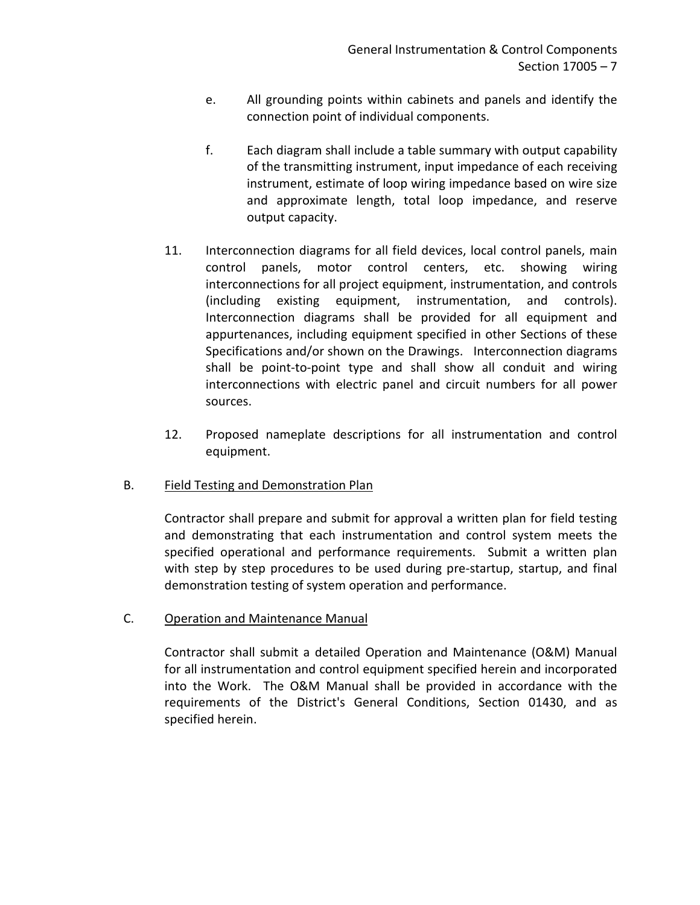- e. All grounding points within cabinets and panels and identify the connection point of individual components.
- f. Each diagram shall include a table summary with output capability of the transmitting instrument, input impedance of each receiving instrument, estimate of loop wiring impedance based on wire size and approximate length, total loop impedance, and reserve output capacity.
- 11. Interconnection diagrams for all field devices, local control panels, main control panels, motor control centers, etc. showing wiring interconnections for all project equipment, instrumentation, and controls (including existing equipment, instrumentation, and controls). Interconnection diagrams shall be provided for all equipment and appurtenances, including equipment specified in other Sections of these Specifications and/or shown on the Drawings. Interconnection diagrams shall be point-to-point type and shall show all conduit and wiring interconnections with electric panel and circuit numbers for all power sources.
- 12. Proposed nameplate descriptions for all instrumentation and control equipment.

# B. Field Testing and Demonstration Plan

Contractor shall prepare and submit for approval a written plan for field testing and demonstrating that each instrumentation and control system meets the specified operational and performance requirements. Submit a written plan with step by step procedures to be used during pre-startup, startup, and final demonstration testing of system operation and performance.

# C. Operation and Maintenance Manual

Contractor shall submit a detailed Operation and Maintenance (O&M) Manual for all instrumentation and control equipment specified herein and incorporated into the Work. The O&M Manual shall be provided in accordance with the requirements of the District's General Conditions, Section 01430, and as specified herein.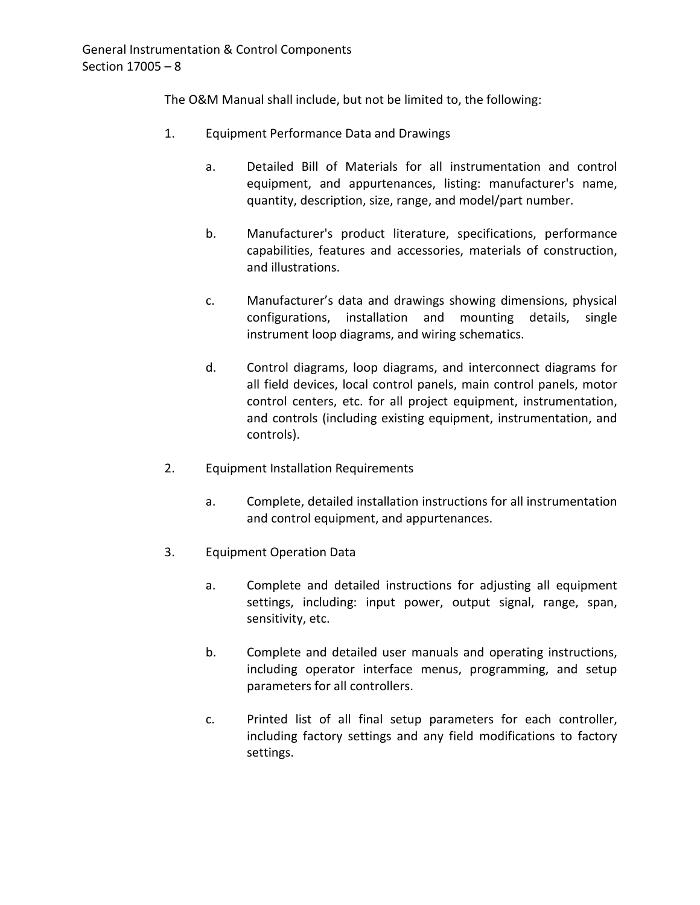The O&M Manual shall include, but not be limited to, the following:

- 1. Equipment Performance Data and Drawings
	- a. Detailed Bill of Materials for all instrumentation and control equipment, and appurtenances, listing: manufacturer's name, quantity, description, size, range, and model/part number.
	- b. Manufacturer's product literature, specifications, performance capabilities, features and accessories, materials of construction, and illustrations.
	- c. Manufacturer's data and drawings showing dimensions, physical configurations, installation and mounting details, single instrument loop diagrams, and wiring schematics.
	- d. Control diagrams, loop diagrams, and interconnect diagrams for all field devices, local control panels, main control panels, motor control centers, etc. for all project equipment, instrumentation, and controls (including existing equipment, instrumentation, and controls).
- 2. Equipment Installation Requirements
	- a. Complete, detailed installation instructions for all instrumentation and control equipment, and appurtenances.
- 3. Equipment Operation Data
	- a. Complete and detailed instructions for adjusting all equipment settings, including: input power, output signal, range, span, sensitivity, etc.
	- b. Complete and detailed user manuals and operating instructions, including operator interface menus, programming, and setup parameters for all controllers.
	- c. Printed list of all final setup parameters for each controller, including factory settings and any field modifications to factory settings.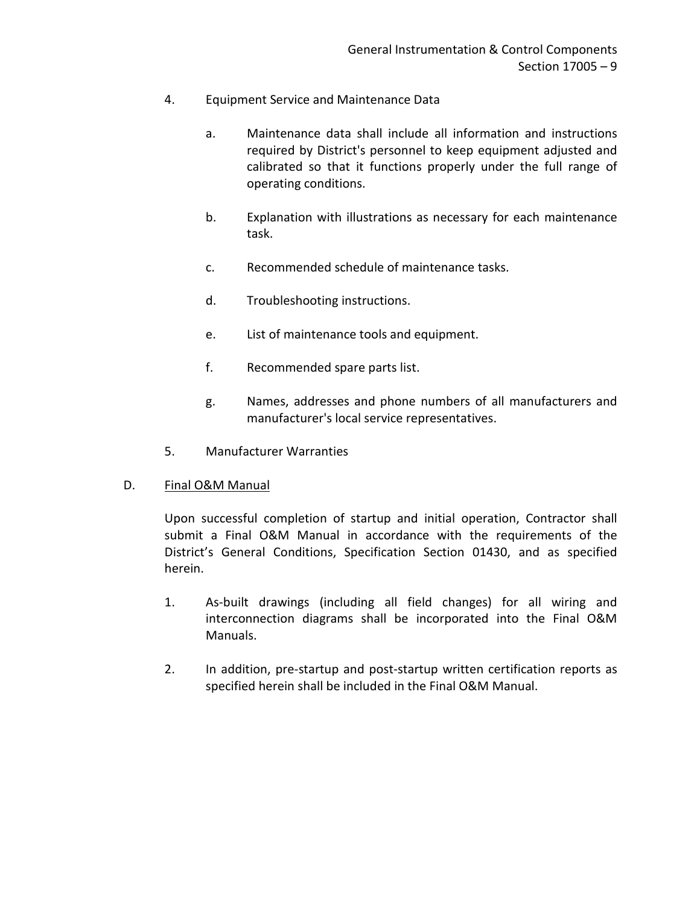- 4. Equipment Service and Maintenance Data
	- a. Maintenance data shall include all information and instructions required by District's personnel to keep equipment adjusted and calibrated so that it functions properly under the full range of operating conditions.
	- b. Explanation with illustrations as necessary for each maintenance task.
	- c. Recommended schedule of maintenance tasks.
	- d. Troubleshooting instructions.
	- e. List of maintenance tools and equipment.
	- f. Recommended spare parts list.
	- g. Names, addresses and phone numbers of all manufacturers and manufacturer's local service representatives.
- 5. Manufacturer Warranties

## D. Final O&M Manual

Upon successful completion of startup and initial operation, Contractor shall submit a Final O&M Manual in accordance with the requirements of the District's General Conditions, Specification Section 01430, and as specified herein.

- 1. As-built drawings (including all field changes) for all wiring and interconnection diagrams shall be incorporated into the Final O&M Manuals.
- 2. In addition, pre-startup and post-startup written certification reports as specified herein shall be included in the Final O&M Manual.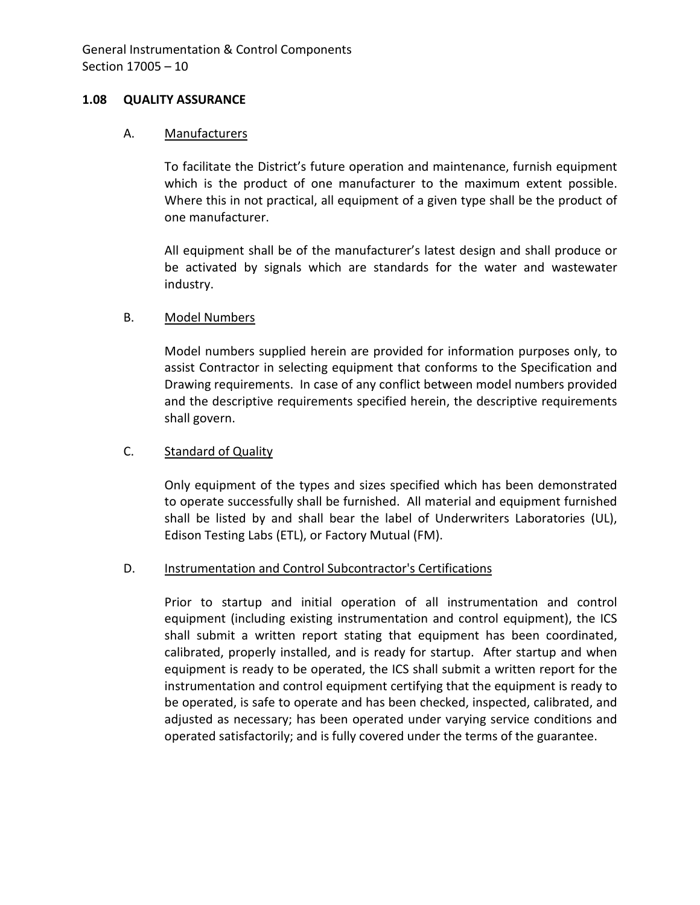### <span id="page-11-0"></span>**1.08 QUALITY ASSURANCE**

#### A. Manufacturers

To facilitate the District's future operation and maintenance, furnish equipment which is the product of one manufacturer to the maximum extent possible. Where this in not practical, all equipment of a given type shall be the product of one manufacturer.

All equipment shall be of the manufacturer's latest design and shall produce or be activated by signals which are standards for the water and wastewater industry.

## B. Model Numbers

Model numbers supplied herein are provided for information purposes only, to assist Contractor in selecting equipment that conforms to the Specification and Drawing requirements. In case of any conflict between model numbers provided and the descriptive requirements specified herein, the descriptive requirements shall govern.

### C. Standard of Quality

Only equipment of the types and sizes specified which has been demonstrated to operate successfully shall be furnished. All material and equipment furnished shall be listed by and shall bear the label of Underwriters Laboratories (UL), Edison Testing Labs (ETL), or Factory Mutual (FM).

#### D. Instrumentation and Control Subcontractor's Certifications

Prior to startup and initial operation of all instrumentation and control equipment (including existing instrumentation and control equipment), the ICS shall submit a written report stating that equipment has been coordinated, calibrated, properly installed, and is ready for startup. After startup and when equipment is ready to be operated, the ICS shall submit a written report for the instrumentation and control equipment certifying that the equipment is ready to be operated, is safe to operate and has been checked, inspected, calibrated, and adjusted as necessary; has been operated under varying service conditions and operated satisfactorily; and is fully covered under the terms of the guarantee.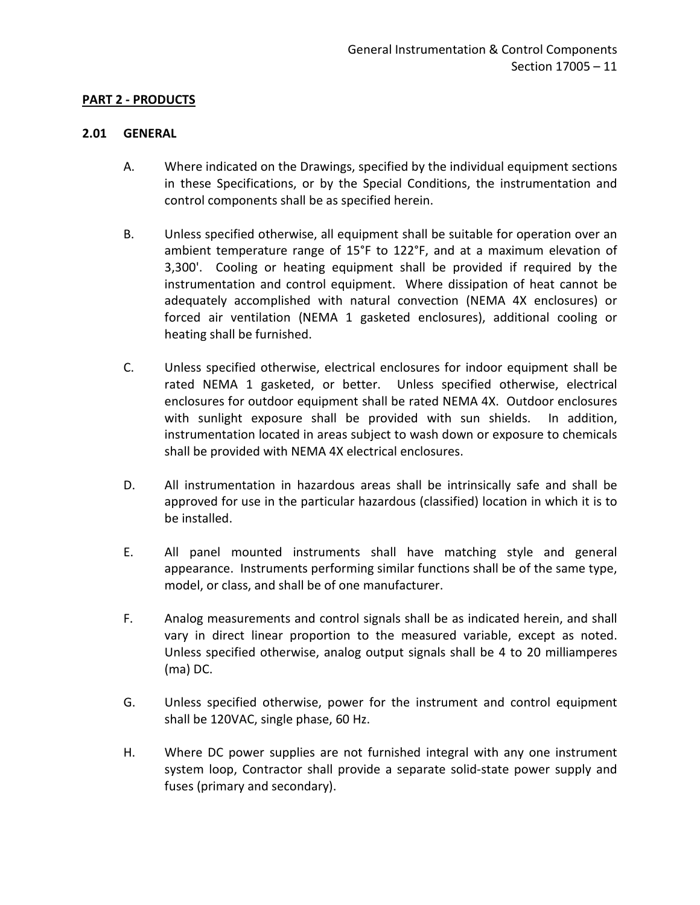## <span id="page-12-0"></span>**PART 2 - PRODUCTS**

### <span id="page-12-1"></span>**2.01 GENERAL**

- A. Where indicated on the Drawings, specified by the individual equipment sections in these Specifications, or by the Special Conditions, the instrumentation and control components shall be as specified herein.
- B. Unless specified otherwise, all equipment shall be suitable for operation over an ambient temperature range of 15°F to 122°F, and at a maximum elevation of 3,300'. Cooling or heating equipment shall be provided if required by the instrumentation and control equipment. Where dissipation of heat cannot be adequately accomplished with natural convection (NEMA 4X enclosures) or forced air ventilation (NEMA 1 gasketed enclosures), additional cooling or heating shall be furnished.
- C. Unless specified otherwise, electrical enclosures for indoor equipment shall be rated NEMA 1 gasketed, or better. Unless specified otherwise, electrical enclosures for outdoor equipment shall be rated NEMA 4X. Outdoor enclosures with sunlight exposure shall be provided with sun shields. In addition, instrumentation located in areas subject to wash down or exposure to chemicals shall be provided with NEMA 4X electrical enclosures.
- D. All instrumentation in hazardous areas shall be intrinsically safe and shall be approved for use in the particular hazardous (classified) location in which it is to be installed.
- E. All panel mounted instruments shall have matching style and general appearance. Instruments performing similar functions shall be of the same type, model, or class, and shall be of one manufacturer.
- F. Analog measurements and control signals shall be as indicated herein, and shall vary in direct linear proportion to the measured variable, except as noted. Unless specified otherwise, analog output signals shall be 4 to 20 milliamperes (ma) DC.
- G. Unless specified otherwise, power for the instrument and control equipment shall be 120VAC, single phase, 60 Hz.
- H. Where DC power supplies are not furnished integral with any one instrument system loop, Contractor shall provide a separate solid-state power supply and fuses (primary and secondary).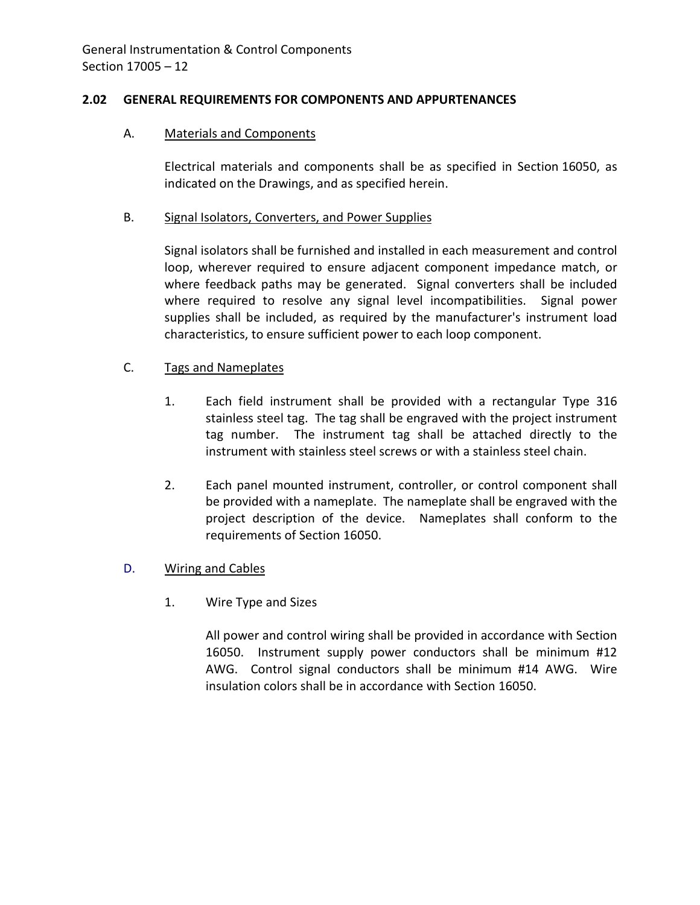## <span id="page-13-0"></span>**2.02 GENERAL REQUIREMENTS FOR COMPONENTS AND APPURTENANCES**

## A. Materials and Components

Electrical materials and components shall be as specified in Section 16050, as indicated on the Drawings, and as specified herein.

### B. Signal Isolators, Converters, and Power Supplies

Signal isolators shall be furnished and installed in each measurement and control loop, wherever required to ensure adjacent component impedance match, or where feedback paths may be generated. Signal converters shall be included where required to resolve any signal level incompatibilities. Signal power supplies shall be included, as required by the manufacturer's instrument load characteristics, to ensure sufficient power to each loop component.

## C. Tags and Nameplates

- 1. Each field instrument shall be provided with a rectangular Type 316 stainless steel tag. The tag shall be engraved with the project instrument tag number. The instrument tag shall be attached directly to the instrument with stainless steel screws or with a stainless steel chain.
- 2. Each panel mounted instrument, controller, or control component shall be provided with a nameplate. The nameplate shall be engraved with the project description of the device. Nameplates shall conform to the requirements of Section 16050.

## D. Wiring and Cables

1. Wire Type and Sizes

All power and control wiring shall be provided in accordance with Section 16050. Instrument supply power conductors shall be minimum #12 AWG. Control signal conductors shall be minimum #14 AWG. Wire insulation colors shall be in accordance with Section 16050.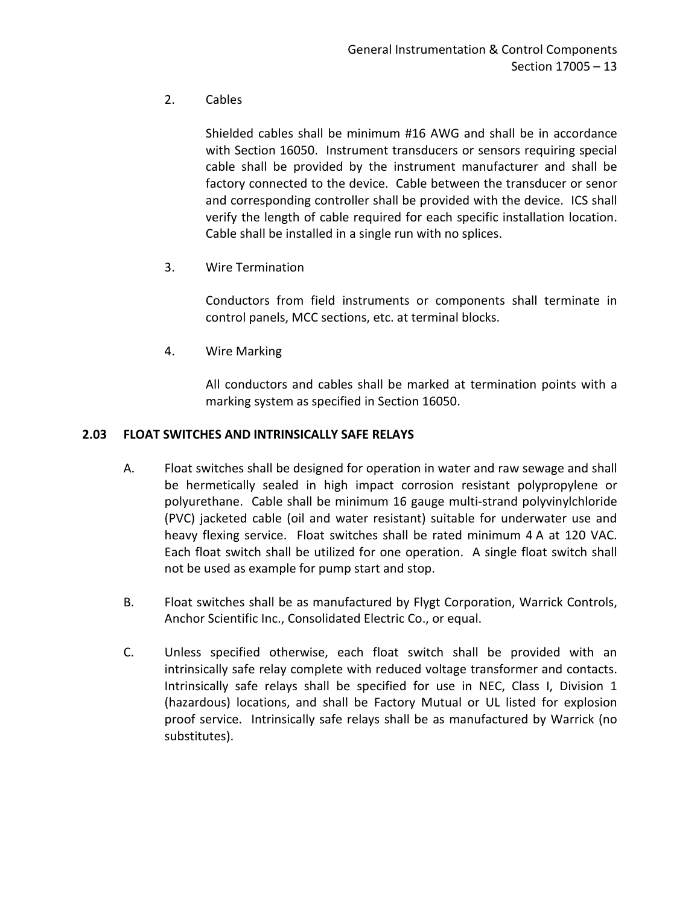# 2. Cables

Shielded cables shall be minimum #16 AWG and shall be in accordance with Section 16050. Instrument transducers or sensors requiring special cable shall be provided by the instrument manufacturer and shall be factory connected to the device. Cable between the transducer or senor and corresponding controller shall be provided with the device. ICS shall verify the length of cable required for each specific installation location. Cable shall be installed in a single run with no splices.

3. Wire Termination

Conductors from field instruments or components shall terminate in control panels, MCC sections, etc. at terminal blocks.

4. Wire Marking

All conductors and cables shall be marked at termination points with a marking system as specified in Section 16050.

## <span id="page-14-0"></span>**2.03 FLOAT SWITCHES AND INTRINSICALLY SAFE RELAYS**

- A. Float switches shall be designed for operation in water and raw sewage and shall be hermetically sealed in high impact corrosion resistant polypropylene or polyurethane. Cable shall be minimum 16 gauge multi-strand polyvinylchloride (PVC) jacketed cable (oil and water resistant) suitable for underwater use and heavy flexing service. Float switches shall be rated minimum 4 A at 120 VAC. Each float switch shall be utilized for one operation. A single float switch shall not be used as example for pump start and stop.
- B. Float switches shall be as manufactured by Flygt Corporation, Warrick Controls, Anchor Scientific Inc., Consolidated Electric Co., or equal.
- C. Unless specified otherwise, each float switch shall be provided with an intrinsically safe relay complete with reduced voltage transformer and contacts. Intrinsically safe relays shall be specified for use in NEC, Class I, Division 1 (hazardous) locations, and shall be Factory Mutual or UL listed for explosion proof service. Intrinsically safe relays shall be as manufactured by Warrick (no substitutes).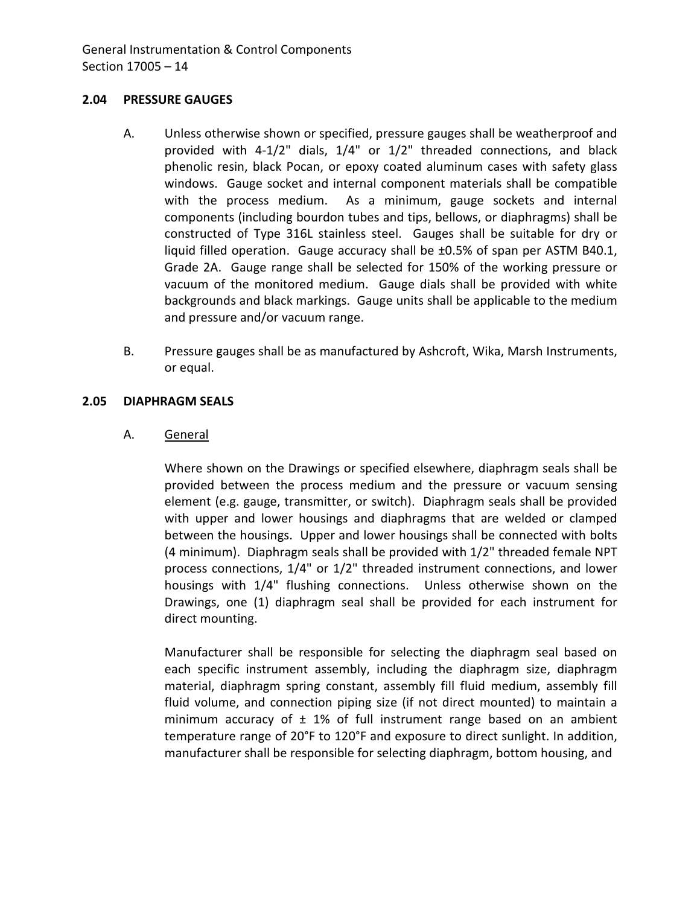### <span id="page-15-0"></span>**2.04 PRESSURE GAUGES**

- A. Unless otherwise shown or specified, pressure gauges shall be weatherproof and provided with 4-1/2" dials, 1/4" or 1/2" threaded connections, and black phenolic resin, black Pocan, or epoxy coated aluminum cases with safety glass windows. Gauge socket and internal component materials shall be compatible with the process medium. As a minimum, gauge sockets and internal components (including bourdon tubes and tips, bellows, or diaphragms) shall be constructed of Type 316L stainless steel. Gauges shall be suitable for dry or liquid filled operation. Gauge accuracy shall be ±0.5% of span per ASTM B40.1, Grade 2A. Gauge range shall be selected for 150% of the working pressure or vacuum of the monitored medium. Gauge dials shall be provided with white backgrounds and black markings. Gauge units shall be applicable to the medium and pressure and/or vacuum range.
- B. Pressure gauges shall be as manufactured by Ashcroft, Wika, Marsh Instruments, or equal.

### <span id="page-15-1"></span>**2.05 DIAPHRAGM SEALS**

### A. General

Where shown on the Drawings or specified elsewhere, diaphragm seals shall be provided between the process medium and the pressure or vacuum sensing element (e.g. gauge, transmitter, or switch). Diaphragm seals shall be provided with upper and lower housings and diaphragms that are welded or clamped between the housings. Upper and lower housings shall be connected with bolts (4 minimum). Diaphragm seals shall be provided with 1/2" threaded female NPT process connections, 1/4" or 1/2" threaded instrument connections, and lower housings with 1/4" flushing connections. Unless otherwise shown on the Drawings, one (1) diaphragm seal shall be provided for each instrument for direct mounting.

Manufacturer shall be responsible for selecting the diaphragm seal based on each specific instrument assembly, including the diaphragm size, diaphragm material, diaphragm spring constant, assembly fill fluid medium, assembly fill fluid volume, and connection piping size (if not direct mounted) to maintain a minimum accuracy of  $\pm$  1% of full instrument range based on an ambient temperature range of 20°F to 120°F and exposure to direct sunlight. In addition, manufacturer shall be responsible for selecting diaphragm, bottom housing, and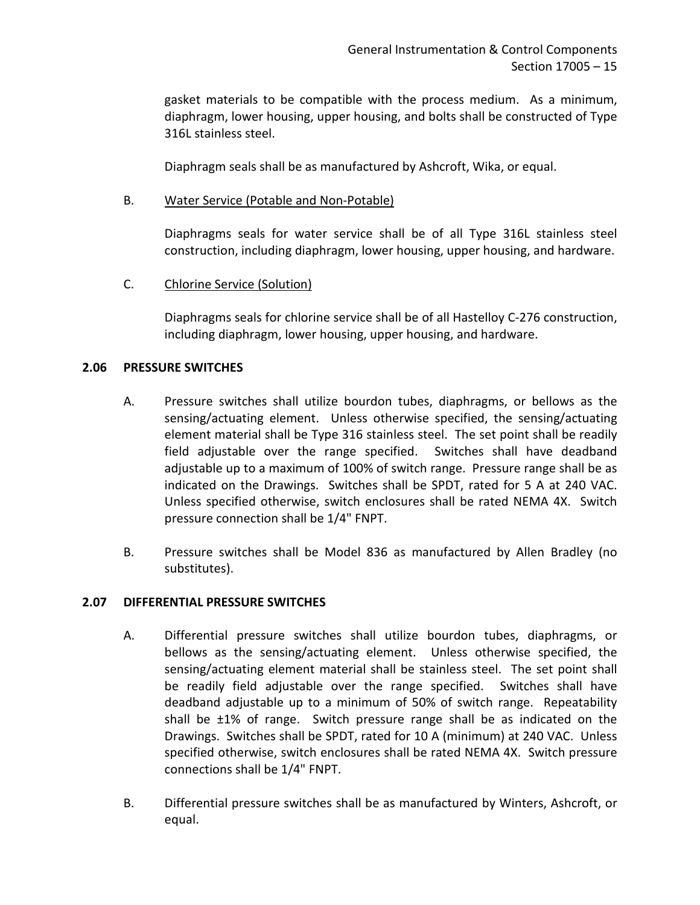gasket materials to be compatible with the process medium. As a minimum, diaphragm, lower housing, upper housing, and bolts shall be constructed of Type 316L stainless steel.

Diaphragm seals shall be as manufactured by Ashcroft, Wika, or equal.

### B. Water Service (Potable and Non-Potable)

Diaphragms seals for water service shall be of all Type 316L stainless steel construction, including diaphragm, lower housing, upper housing, and hardware.

C. Chlorine Service (Solution)

Diaphragms seals for chlorine service shall be of all Hastelloy C-276 construction, including diaphragm, lower housing, upper housing, and hardware.

### <span id="page-16-0"></span>**2.06 PRESSURE SWITCHES**

- A. Pressure switches shall utilize bourdon tubes, diaphragms, or bellows as the sensing/actuating element. Unless otherwise specified, the sensing/actuating element material shall be Type 316 stainless steel. The set point shall be readily field adjustable over the range specified. Switches shall have deadband adjustable up to a maximum of 100% of switch range. Pressure range shall be as indicated on the Drawings. Switches shall be SPDT, rated for 5 A at 240 VAC. Unless specified otherwise, switch enclosures shall be rated NEMA 4X. Switch pressure connection shall be 1/4" FNPT.
- B. Pressure switches shall be Model 836 as manufactured by Allen Bradley (no substitutes).

#### <span id="page-16-1"></span>**2.07 DIFFERENTIAL PRESSURE SWITCHES**

- A. Differential pressure switches shall utilize bourdon tubes, diaphragms, or bellows as the sensing/actuating element. Unless otherwise specified, the sensing/actuating element material shall be stainless steel. The set point shall be readily field adjustable over the range specified. Switches shall have deadband adjustable up to a minimum of 50% of switch range. Repeatability shall be ±1% of range. Switch pressure range shall be as indicated on the Drawings. Switches shall be SPDT, rated for 10 A (minimum) at 240 VAC. Unless specified otherwise, switch enclosures shall be rated NEMA 4X. Switch pressure connections shall be 1/4" FNPT.
- B. Differential pressure switches shall be as manufactured by Winters, Ashcroft, or equal.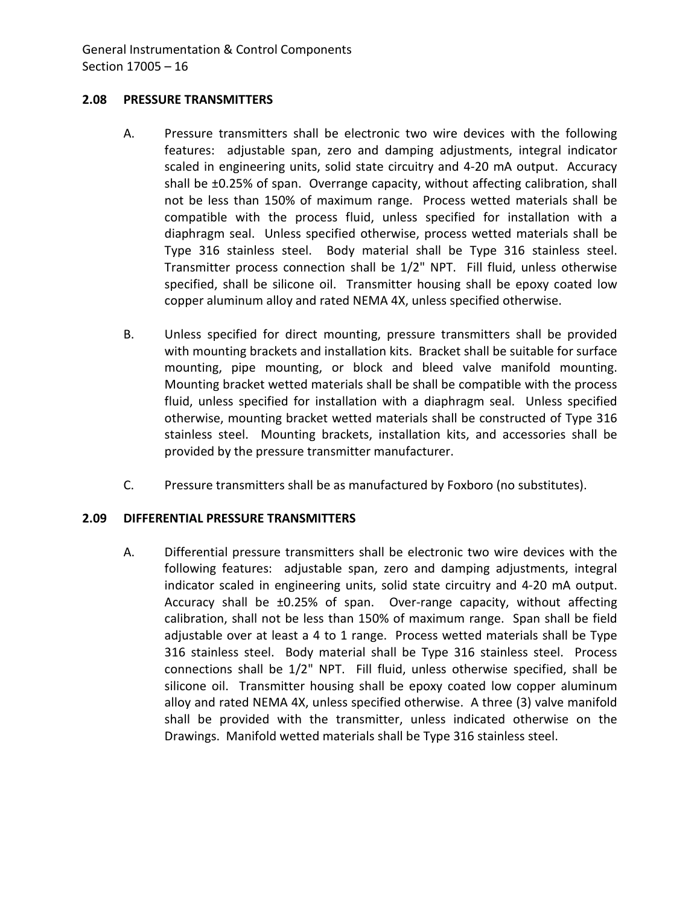### <span id="page-17-0"></span>**2.08 PRESSURE TRANSMITTERS**

- A. Pressure transmitters shall be electronic two wire devices with the following features: adjustable span, zero and damping adjustments, integral indicator scaled in engineering units, solid state circuitry and 4-20 mA output. Accuracy shall be ±0.25% of span. Overrange capacity, without affecting calibration, shall not be less than 150% of maximum range. Process wetted materials shall be compatible with the process fluid, unless specified for installation with a diaphragm seal. Unless specified otherwise, process wetted materials shall be Type 316 stainless steel. Body material shall be Type 316 stainless steel. Transmitter process connection shall be 1/2" NPT. Fill fluid, unless otherwise specified, shall be silicone oil. Transmitter housing shall be epoxy coated low copper aluminum alloy and rated NEMA 4X, unless specified otherwise.
- B. Unless specified for direct mounting, pressure transmitters shall be provided with mounting brackets and installation kits. Bracket shall be suitable for surface mounting, pipe mounting, or block and bleed valve manifold mounting. Mounting bracket wetted materials shall be shall be compatible with the process fluid, unless specified for installation with a diaphragm seal. Unless specified otherwise, mounting bracket wetted materials shall be constructed of Type 316 stainless steel. Mounting brackets, installation kits, and accessories shall be provided by the pressure transmitter manufacturer.
- C. Pressure transmitters shall be as manufactured by Foxboro (no substitutes).

## <span id="page-17-1"></span>**2.09 DIFFERENTIAL PRESSURE TRANSMITTERS**

A. Differential pressure transmitters shall be electronic two wire devices with the following features: adjustable span, zero and damping adjustments, integral indicator scaled in engineering units, solid state circuitry and 4-20 mA output. Accuracy shall be ±0.25% of span. Over-range capacity, without affecting calibration, shall not be less than 150% of maximum range. Span shall be field adjustable over at least a 4 to 1 range. Process wetted materials shall be Type 316 stainless steel. Body material shall be Type 316 stainless steel. Process connections shall be 1/2" NPT. Fill fluid, unless otherwise specified, shall be silicone oil. Transmitter housing shall be epoxy coated low copper aluminum alloy and rated NEMA 4X, unless specified otherwise. A three (3) valve manifold shall be provided with the transmitter, unless indicated otherwise on the Drawings. Manifold wetted materials shall be Type 316 stainless steel.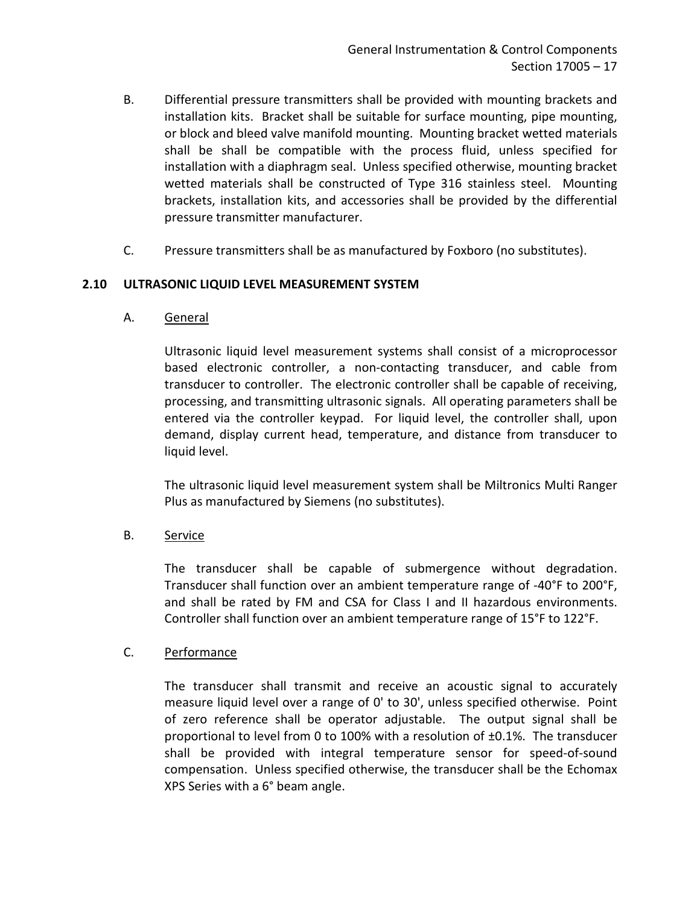- B. Differential pressure transmitters shall be provided with mounting brackets and installation kits. Bracket shall be suitable for surface mounting, pipe mounting, or block and bleed valve manifold mounting. Mounting bracket wetted materials shall be shall be compatible with the process fluid, unless specified for installation with a diaphragm seal. Unless specified otherwise, mounting bracket wetted materials shall be constructed of Type 316 stainless steel. Mounting brackets, installation kits, and accessories shall be provided by the differential pressure transmitter manufacturer.
- C. Pressure transmitters shall be as manufactured by Foxboro (no substitutes).

## <span id="page-18-0"></span>**2.10 ULTRASONIC LIQUID LEVEL MEASUREMENT SYSTEM**

A. General

Ultrasonic liquid level measurement systems shall consist of a microprocessor based electronic controller, a non-contacting transducer, and cable from transducer to controller. The electronic controller shall be capable of receiving, processing, and transmitting ultrasonic signals. All operating parameters shall be entered via the controller keypad. For liquid level, the controller shall, upon demand, display current head, temperature, and distance from transducer to liquid level.

The ultrasonic liquid level measurement system shall be Miltronics Multi Ranger Plus as manufactured by Siemens (no substitutes).

## B. Service

The transducer shall be capable of submergence without degradation. Transducer shall function over an ambient temperature range of -40°F to 200°F, and shall be rated by FM and CSA for Class I and II hazardous environments. Controller shall function over an ambient temperature range of 15°F to 122°F.

## C. Performance

The transducer shall transmit and receive an acoustic signal to accurately measure liquid level over a range of 0' to 30', unless specified otherwise. Point of zero reference shall be operator adjustable. The output signal shall be proportional to level from 0 to 100% with a resolution of  $\pm 0.1$ %. The transducer shall be provided with integral temperature sensor for speed-of-sound compensation. Unless specified otherwise, the transducer shall be the Echomax XPS Series with a 6° beam angle.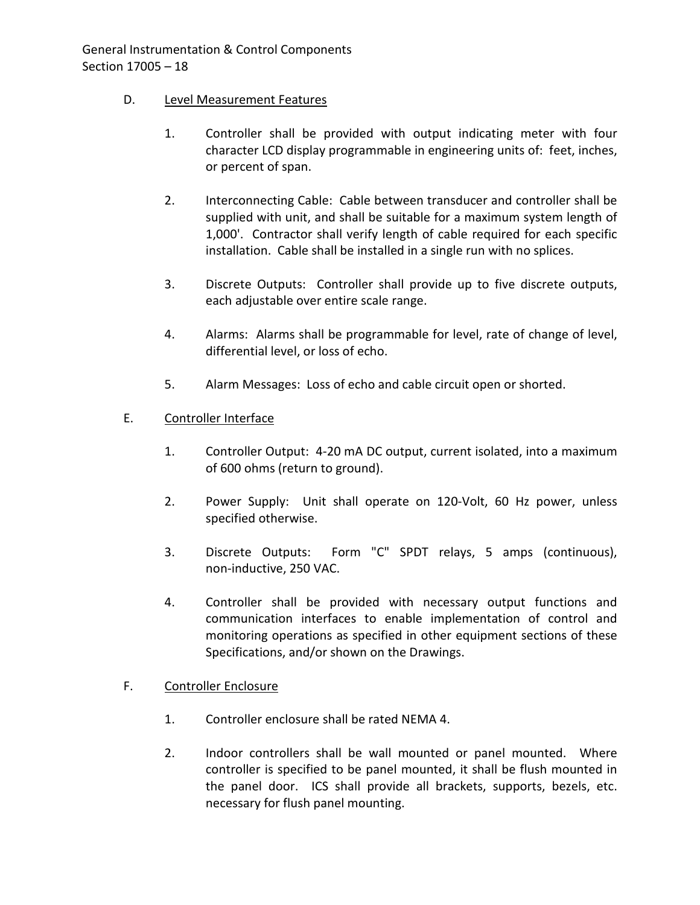## D. Level Measurement Features

- 1. Controller shall be provided with output indicating meter with four character LCD display programmable in engineering units of: feet, inches, or percent of span.
- 2. Interconnecting Cable: Cable between transducer and controller shall be supplied with unit, and shall be suitable for a maximum system length of 1,000'. Contractor shall verify length of cable required for each specific installation. Cable shall be installed in a single run with no splices.
- 3. Discrete Outputs: Controller shall provide up to five discrete outputs, each adjustable over entire scale range.
- 4. Alarms: Alarms shall be programmable for level, rate of change of level, differential level, or loss of echo.
- 5. Alarm Messages: Loss of echo and cable circuit open or shorted.

# E. Controller Interface

- 1. Controller Output: 4-20 mA DC output, current isolated, into a maximum of 600 ohms (return to ground).
- 2. Power Supply: Unit shall operate on 120-Volt, 60 Hz power, unless specified otherwise.
- 3. Discrete Outputs: Form "C" SPDT relays, 5 amps (continuous), non-inductive, 250 VAC.
- 4. Controller shall be provided with necessary output functions and communication interfaces to enable implementation of control and monitoring operations as specified in other equipment sections of these Specifications, and/or shown on the Drawings.

# F. Controller Enclosure

- 1. Controller enclosure shall be rated NEMA 4.
- 2. Indoor controllers shall be wall mounted or panel mounted. Where controller is specified to be panel mounted, it shall be flush mounted in the panel door. ICS shall provide all brackets, supports, bezels, etc. necessary for flush panel mounting.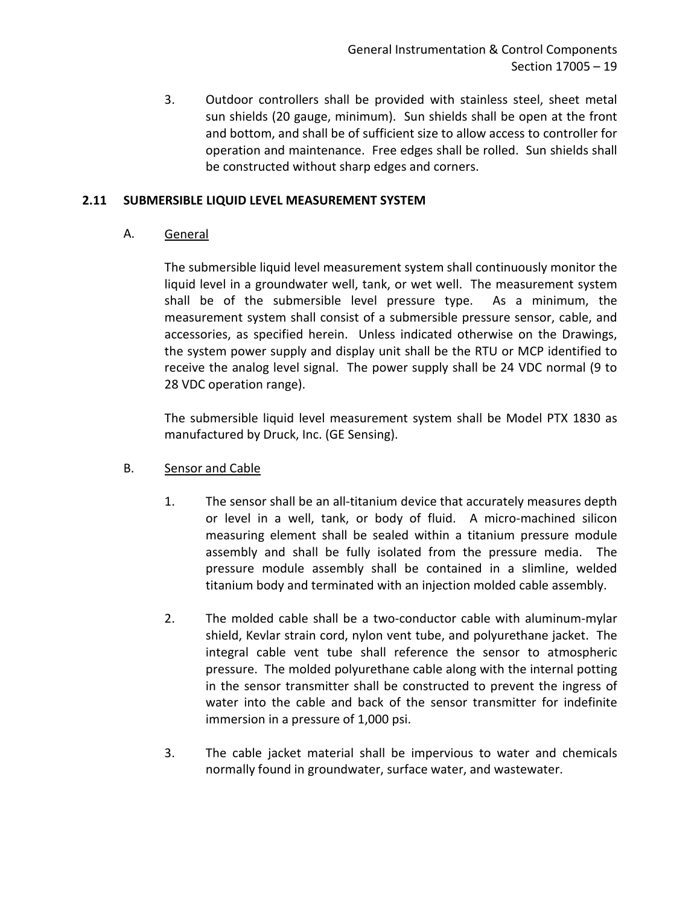3. Outdoor controllers shall be provided with stainless steel, sheet metal sun shields (20 gauge, minimum). Sun shields shall be open at the front and bottom, and shall be of sufficient size to allow access to controller for operation and maintenance. Free edges shall be rolled. Sun shields shall be constructed without sharp edges and corners.

## <span id="page-20-0"></span>**2.11 SUBMERSIBLE LIQUID LEVEL MEASUREMENT SYSTEM**

A. General

The submersible liquid level measurement system shall continuously monitor the liquid level in a groundwater well, tank, or wet well. The measurement system shall be of the submersible level pressure type. As a minimum, the measurement system shall consist of a submersible pressure sensor, cable, and accessories, as specified herein. Unless indicated otherwise on the Drawings, the system power supply and display unit shall be the RTU or MCP identified to receive the analog level signal. The power supply shall be 24 VDC normal (9 to 28 VDC operation range).

The submersible liquid level measurement system shall be Model PTX 1830 as manufactured by Druck, Inc. (GE Sensing).

- B. Sensor and Cable
	- 1. The sensor shall be an all-titanium device that accurately measures depth or level in a well, tank, or body of fluid. A micro-machined silicon measuring element shall be sealed within a titanium pressure module assembly and shall be fully isolated from the pressure media. The pressure module assembly shall be contained in a slimline, welded titanium body and terminated with an injection molded cable assembly.
	- 2. The molded cable shall be a two-conductor cable with aluminum-mylar shield, Kevlar strain cord, nylon vent tube, and polyurethane jacket. The integral cable vent tube shall reference the sensor to atmospheric pressure. The molded polyurethane cable along with the internal potting in the sensor transmitter shall be constructed to prevent the ingress of water into the cable and back of the sensor transmitter for indefinite immersion in a pressure of 1,000 psi.
	- 3. The cable jacket material shall be impervious to water and chemicals normally found in groundwater, surface water, and wastewater.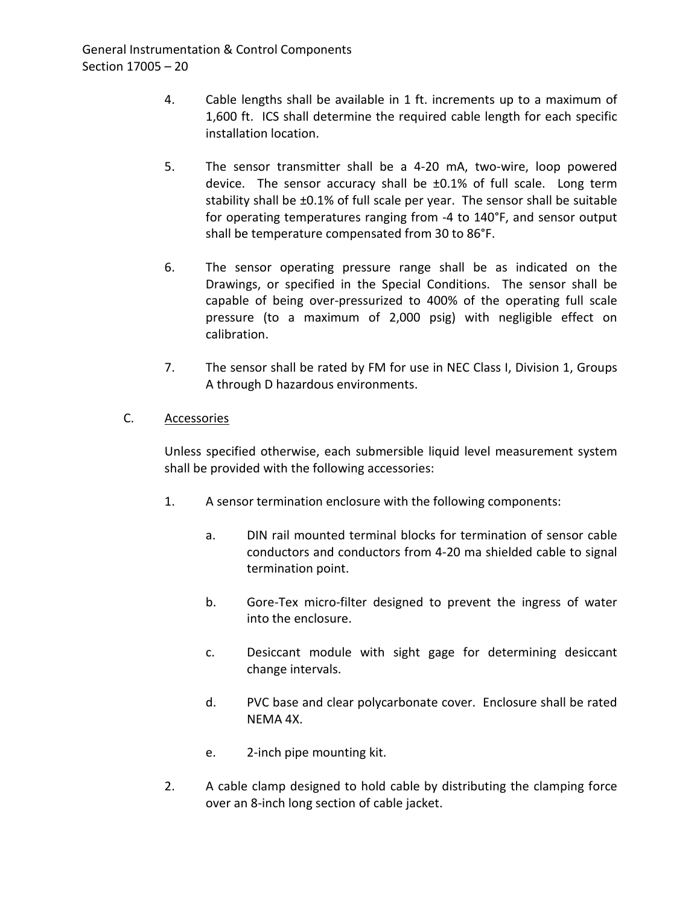- 4. Cable lengths shall be available in 1 ft. increments up to a maximum of 1,600 ft. ICS shall determine the required cable length for each specific installation location.
- 5. The sensor transmitter shall be a 4-20 mA, two-wire, loop powered device. The sensor accuracy shall be ±0.1% of full scale. Long term stability shall be ±0.1% of full scale per year. The sensor shall be suitable for operating temperatures ranging from -4 to 140°F, and sensor output shall be temperature compensated from 30 to 86°F.
- 6. The sensor operating pressure range shall be as indicated on the Drawings, or specified in the Special Conditions. The sensor shall be capable of being over-pressurized to 400% of the operating full scale pressure (to a maximum of 2,000 psig) with negligible effect on calibration.
- 7. The sensor shall be rated by FM for use in NEC Class I, Division 1, Groups A through D hazardous environments.

# C. Accessories

Unless specified otherwise, each submersible liquid level measurement system shall be provided with the following accessories:

- 1. A sensor termination enclosure with the following components:
	- a. DIN rail mounted terminal blocks for termination of sensor cable conductors and conductors from 4-20 ma shielded cable to signal termination point.
	- b. Gore-Tex micro-filter designed to prevent the ingress of water into the enclosure.
	- c. Desiccant module with sight gage for determining desiccant change intervals.
	- d. PVC base and clear polycarbonate cover. Enclosure shall be rated NEMA 4X.
	- e. 2-inch pipe mounting kit.
- 2. A cable clamp designed to hold cable by distributing the clamping force over an 8-inch long section of cable jacket.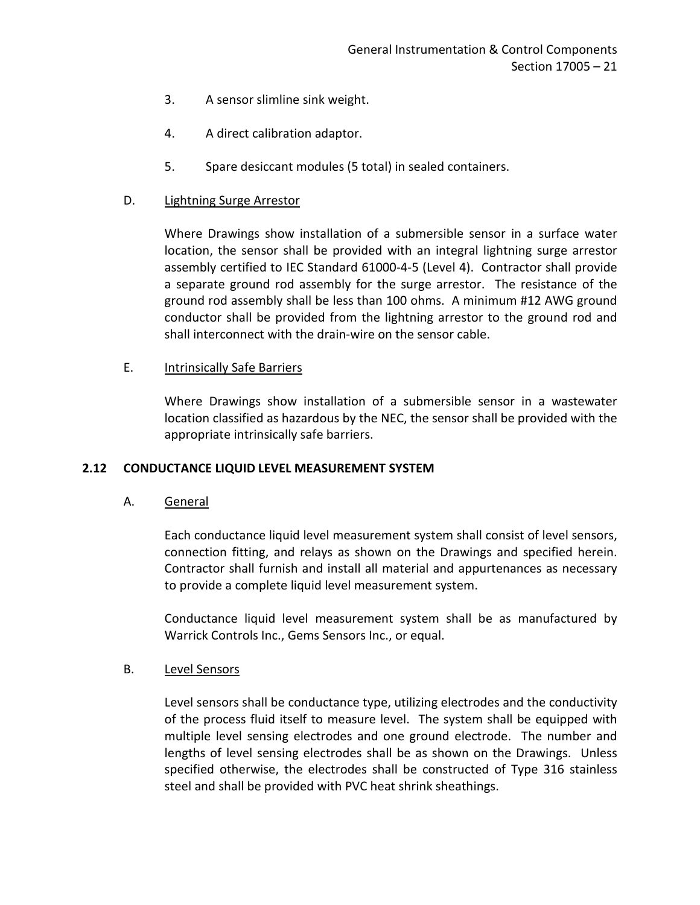- 3. A sensor slimline sink weight.
- 4. A direct calibration adaptor.
- 5. Spare desiccant modules (5 total) in sealed containers.

## D. Lightning Surge Arrestor

Where Drawings show installation of a submersible sensor in a surface water location, the sensor shall be provided with an integral lightning surge arrestor assembly certified to IEC Standard 61000-4-5 (Level 4). Contractor shall provide a separate ground rod assembly for the surge arrestor. The resistance of the ground rod assembly shall be less than 100 ohms. A minimum #12 AWG ground conductor shall be provided from the lightning arrestor to the ground rod and shall interconnect with the drain-wire on the sensor cable.

### E. Intrinsically Safe Barriers

Where Drawings show installation of a submersible sensor in a wastewater location classified as hazardous by the NEC, the sensor shall be provided with the appropriate intrinsically safe barriers.

## <span id="page-22-0"></span>**2.12 CONDUCTANCE LIQUID LEVEL MEASUREMENT SYSTEM**

A. General

Each conductance liquid level measurement system shall consist of level sensors, connection fitting, and relays as shown on the Drawings and specified herein. Contractor shall furnish and install all material and appurtenances as necessary to provide a complete liquid level measurement system.

Conductance liquid level measurement system shall be as manufactured by Warrick Controls Inc., Gems Sensors Inc., or equal.

## B. Level Sensors

Level sensors shall be conductance type, utilizing electrodes and the conductivity of the process fluid itself to measure level. The system shall be equipped with multiple level sensing electrodes and one ground electrode. The number and lengths of level sensing electrodes shall be as shown on the Drawings. Unless specified otherwise, the electrodes shall be constructed of Type 316 stainless steel and shall be provided with PVC heat shrink sheathings.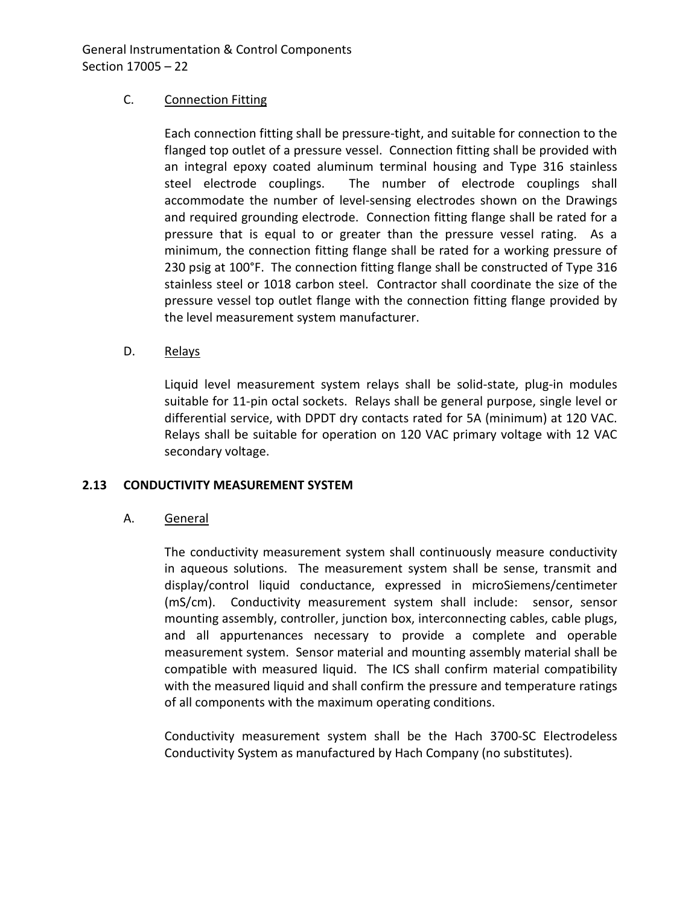## C. Connection Fitting

Each connection fitting shall be pressure-tight, and suitable for connection to the flanged top outlet of a pressure vessel. Connection fitting shall be provided with an integral epoxy coated aluminum terminal housing and Type 316 stainless steel electrode couplings. The number of electrode couplings shall accommodate the number of level-sensing electrodes shown on the Drawings and required grounding electrode. Connection fitting flange shall be rated for a pressure that is equal to or greater than the pressure vessel rating. As a minimum, the connection fitting flange shall be rated for a working pressure of 230 psig at 100°F. The connection fitting flange shall be constructed of Type 316 stainless steel or 1018 carbon steel. Contractor shall coordinate the size of the pressure vessel top outlet flange with the connection fitting flange provided by the level measurement system manufacturer.

## D. Relays

Liquid level measurement system relays shall be solid-state, plug-in modules suitable for 11-pin octal sockets. Relays shall be general purpose, single level or differential service, with DPDT dry contacts rated for 5A (minimum) at 120 VAC. Relays shall be suitable for operation on 120 VAC primary voltage with 12 VAC secondary voltage.

## <span id="page-23-0"></span>**2.13 CONDUCTIVITY MEASUREMENT SYSTEM**

## A. General

The conductivity measurement system shall continuously measure conductivity in aqueous solutions. The measurement system shall be sense, transmit and display/control liquid conductance, expressed in microSiemens/centimeter (mS/cm). Conductivity measurement system shall include: sensor, sensor mounting assembly, controller, junction box, interconnecting cables, cable plugs, and all appurtenances necessary to provide a complete and operable measurement system. Sensor material and mounting assembly material shall be compatible with measured liquid. The ICS shall confirm material compatibility with the measured liquid and shall confirm the pressure and temperature ratings of all components with the maximum operating conditions.

Conductivity measurement system shall be the Hach 3700-SC Electrodeless Conductivity System as manufactured by Hach Company (no substitutes).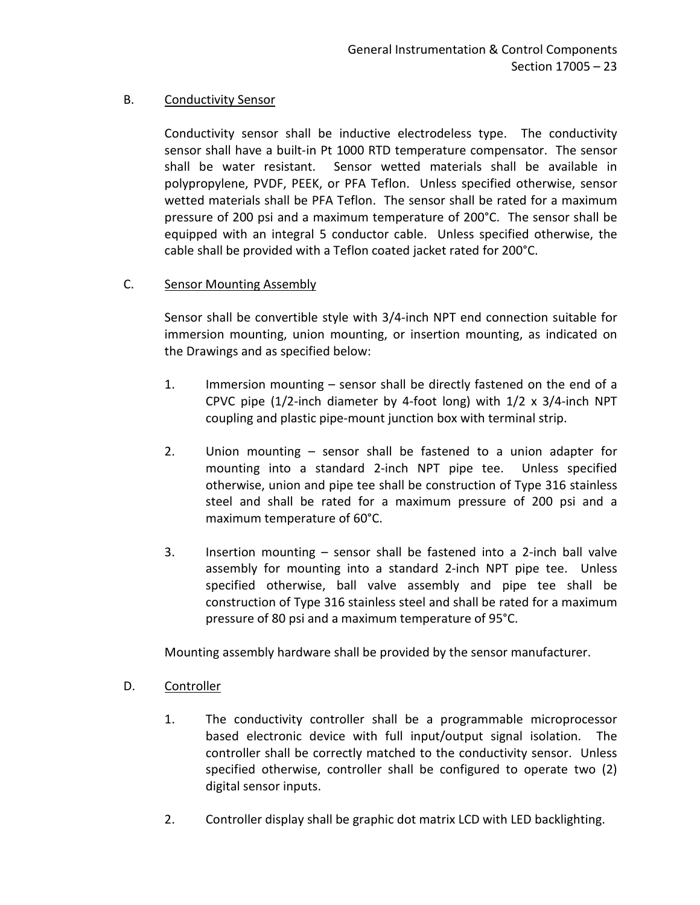## B. Conductivity Sensor

Conductivity sensor shall be inductive electrodeless type. The conductivity sensor shall have a built-in Pt 1000 RTD temperature compensator. The sensor shall be water resistant. Sensor wetted materials shall be available in polypropylene, PVDF, PEEK, or PFA Teflon. Unless specified otherwise, sensor wetted materials shall be PFA Teflon. The sensor shall be rated for a maximum pressure of 200 psi and a maximum temperature of 200°C. The sensor shall be equipped with an integral 5 conductor cable. Unless specified otherwise, the cable shall be provided with a Teflon coated jacket rated for 200°C.

## C. Sensor Mounting Assembly

Sensor shall be convertible style with 3/4-inch NPT end connection suitable for immersion mounting, union mounting, or insertion mounting, as indicated on the Drawings and as specified below:

- 1. Immersion mounting sensor shall be directly fastened on the end of a CPVC pipe (1/2-inch diameter by 4-foot long) with 1/2 x 3/4-inch NPT coupling and plastic pipe-mount junction box with terminal strip.
- 2. Union mounting sensor shall be fastened to a union adapter for mounting into a standard 2-inch NPT pipe tee. Unless specified otherwise, union and pipe tee shall be construction of Type 316 stainless steel and shall be rated for a maximum pressure of 200 psi and a maximum temperature of 60°C.
- 3. Insertion mounting sensor shall be fastened into a 2-inch ball valve assembly for mounting into a standard 2-inch NPT pipe tee. Unless specified otherwise, ball valve assembly and pipe tee shall be construction of Type 316 stainless steel and shall be rated for a maximum pressure of 80 psi and a maximum temperature of 95°C.

Mounting assembly hardware shall be provided by the sensor manufacturer.

- D. Controller
	- 1. The conductivity controller shall be a programmable microprocessor based electronic device with full input/output signal isolation. The controller shall be correctly matched to the conductivity sensor. Unless specified otherwise, controller shall be configured to operate two (2) digital sensor inputs.
	- 2. Controller display shall be graphic dot matrix LCD with LED backlighting.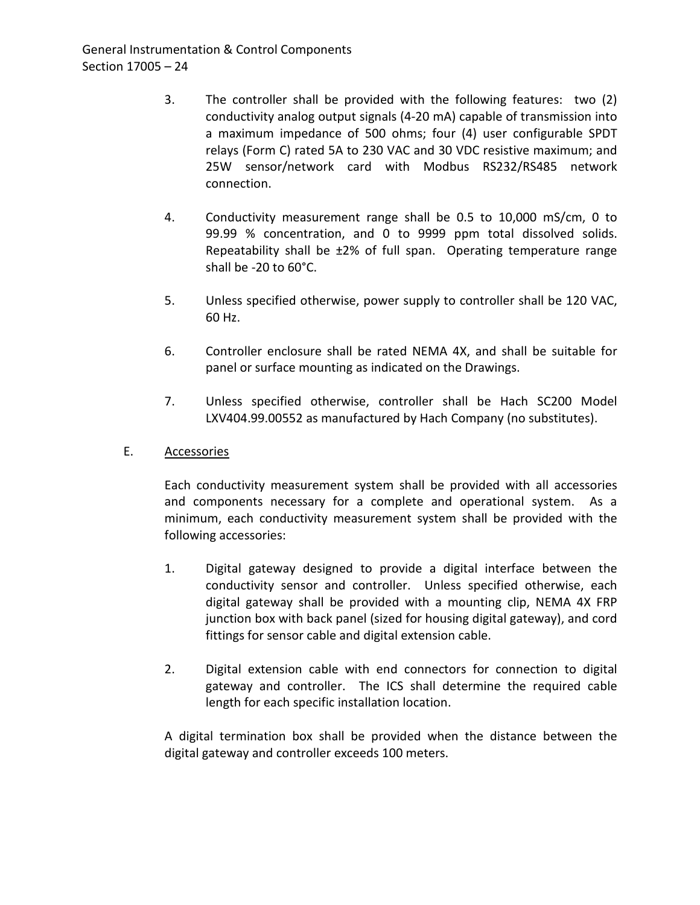- 3. The controller shall be provided with the following features: two (2) conductivity analog output signals (4-20 mA) capable of transmission into a maximum impedance of 500 ohms; four (4) user configurable SPDT relays (Form C) rated 5A to 230 VAC and 30 VDC resistive maximum; and 25W sensor/network card with Modbus RS232/RS485 network connection.
- 4. Conductivity measurement range shall be 0.5 to 10,000 mS/cm, 0 to 99.99 % concentration, and 0 to 9999 ppm total dissolved solids. Repeatability shall be ±2% of full span. Operating temperature range shall be -20 to 60°C.
- 5. Unless specified otherwise, power supply to controller shall be 120 VAC, 60 Hz.
- 6. Controller enclosure shall be rated NEMA 4X, and shall be suitable for panel or surface mounting as indicated on the Drawings.
- 7. Unless specified otherwise, controller shall be Hach SC200 Model LXV404.99.00552 as manufactured by Hach Company (no substitutes).
- E. Accessories

Each conductivity measurement system shall be provided with all accessories and components necessary for a complete and operational system. As a minimum, each conductivity measurement system shall be provided with the following accessories:

- 1. Digital gateway designed to provide a digital interface between the conductivity sensor and controller. Unless specified otherwise, each digital gateway shall be provided with a mounting clip, NEMA 4X FRP junction box with back panel (sized for housing digital gateway), and cord fittings for sensor cable and digital extension cable.
- 2. Digital extension cable with end connectors for connection to digital gateway and controller. The ICS shall determine the required cable length for each specific installation location.

A digital termination box shall be provided when the distance between the digital gateway and controller exceeds 100 meters.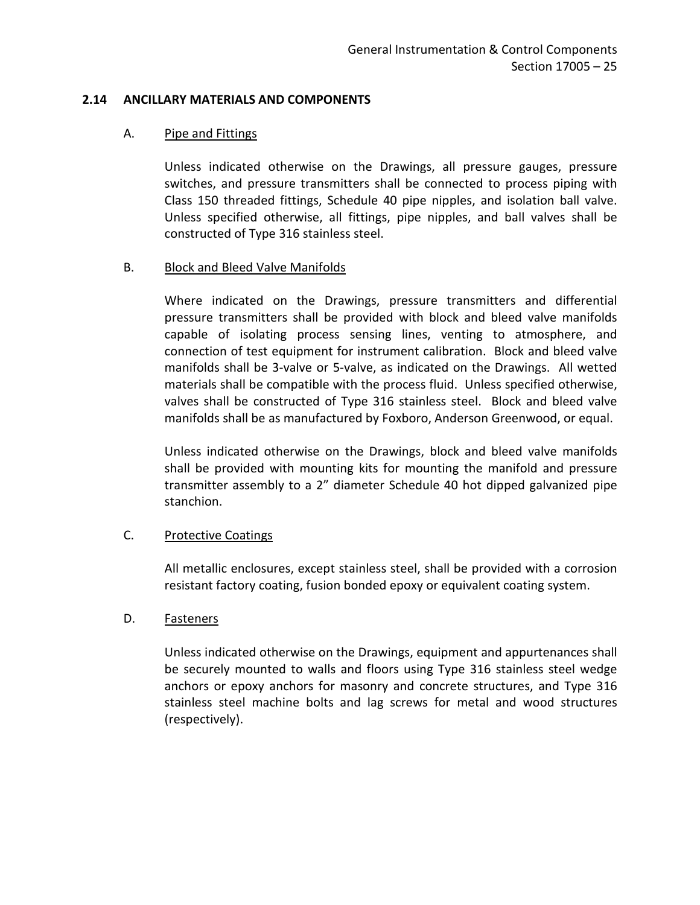### <span id="page-26-0"></span>**2.14 ANCILLARY MATERIALS AND COMPONENTS**

#### A. Pipe and Fittings

Unless indicated otherwise on the Drawings, all pressure gauges, pressure switches, and pressure transmitters shall be connected to process piping with Class 150 threaded fittings, Schedule 40 pipe nipples, and isolation ball valve. Unless specified otherwise, all fittings, pipe nipples, and ball valves shall be constructed of Type 316 stainless steel.

## B. Block and Bleed Valve Manifolds

Where indicated on the Drawings, pressure transmitters and differential pressure transmitters shall be provided with block and bleed valve manifolds capable of isolating process sensing lines, venting to atmosphere, and connection of test equipment for instrument calibration. Block and bleed valve manifolds shall be 3-valve or 5-valve, as indicated on the Drawings. All wetted materials shall be compatible with the process fluid. Unless specified otherwise, valves shall be constructed of Type 316 stainless steel. Block and bleed valve manifolds shall be as manufactured by Foxboro, Anderson Greenwood, or equal.

Unless indicated otherwise on the Drawings, block and bleed valve manifolds shall be provided with mounting kits for mounting the manifold and pressure transmitter assembly to a 2" diameter Schedule 40 hot dipped galvanized pipe stanchion.

## C. Protective Coatings

All metallic enclosures, except stainless steel, shall be provided with a corrosion resistant factory coating, fusion bonded epoxy or equivalent coating system.

## D. Fasteners

Unless indicated otherwise on the Drawings, equipment and appurtenances shall be securely mounted to walls and floors using Type 316 stainless steel wedge anchors or epoxy anchors for masonry and concrete structures, and Type 316 stainless steel machine bolts and lag screws for metal and wood structures (respectively).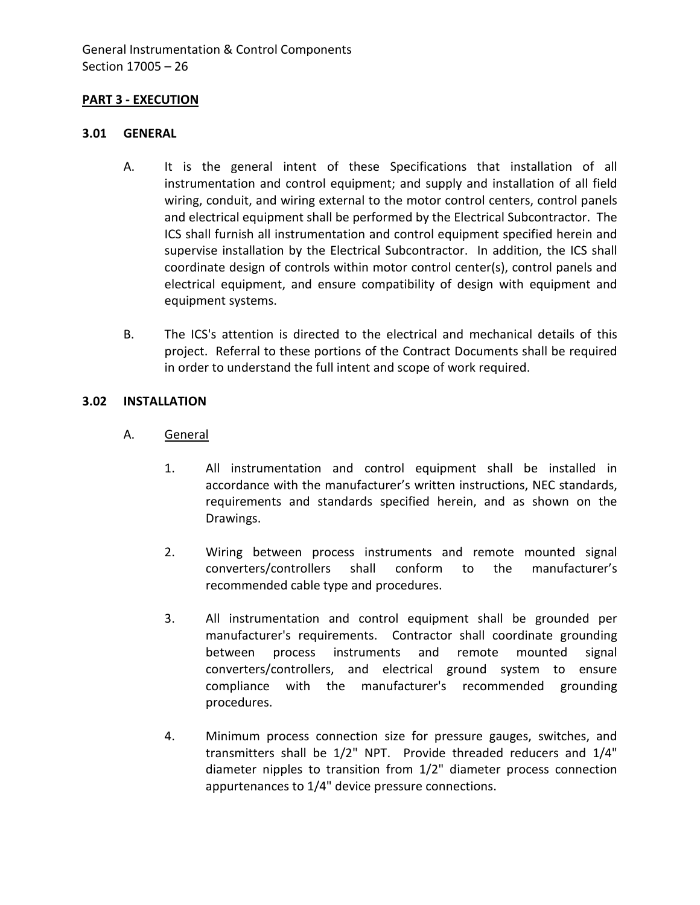## <span id="page-27-0"></span>**PART 3 - EXECUTION**

#### <span id="page-27-1"></span>**3.01 GENERAL**

- A. It is the general intent of these Specifications that installation of all instrumentation and control equipment; and supply and installation of all field wiring, conduit, and wiring external to the motor control centers, control panels and electrical equipment shall be performed by the Electrical Subcontractor. The ICS shall furnish all instrumentation and control equipment specified herein and supervise installation by the Electrical Subcontractor. In addition, the ICS shall coordinate design of controls within motor control center(s), control panels and electrical equipment, and ensure compatibility of design with equipment and equipment systems.
- B. The ICS's attention is directed to the electrical and mechanical details of this project. Referral to these portions of the Contract Documents shall be required in order to understand the full intent and scope of work required.

### <span id="page-27-2"></span>**3.02 INSTALLATION**

- A. General
	- 1. All instrumentation and control equipment shall be installed in accordance with the manufacturer's written instructions, NEC standards, requirements and standards specified herein, and as shown on the Drawings.
	- 2. Wiring between process instruments and remote mounted signal converters/controllers shall conform to the manufacturer's recommended cable type and procedures.
	- 3. All instrumentation and control equipment shall be grounded per manufacturer's requirements. Contractor shall coordinate grounding between process instruments and remote mounted signal converters/controllers, and electrical ground system to ensure compliance with the manufacturer's recommended grounding procedures.
	- 4. Minimum process connection size for pressure gauges, switches, and transmitters shall be 1/2" NPT. Provide threaded reducers and 1/4" diameter nipples to transition from 1/2" diameter process connection appurtenances to 1/4" device pressure connections.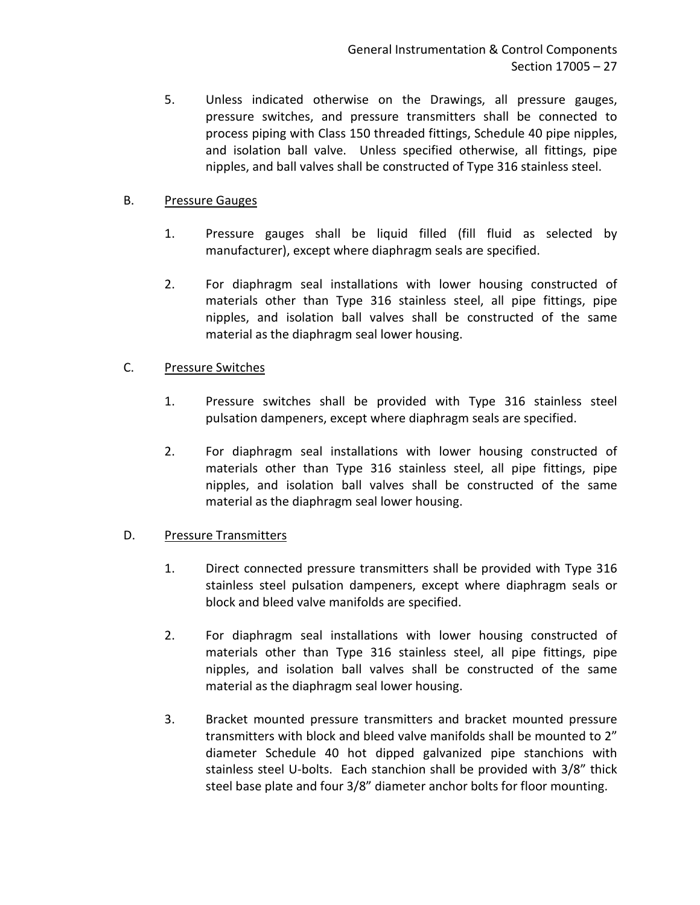5. Unless indicated otherwise on the Drawings, all pressure gauges, pressure switches, and pressure transmitters shall be connected to process piping with Class 150 threaded fittings, Schedule 40 pipe nipples, and isolation ball valve. Unless specified otherwise, all fittings, pipe nipples, and ball valves shall be constructed of Type 316 stainless steel.

## B. Pressure Gauges

- 1. Pressure gauges shall be liquid filled (fill fluid as selected by manufacturer), except where diaphragm seals are specified.
- 2. For diaphragm seal installations with lower housing constructed of materials other than Type 316 stainless steel, all pipe fittings, pipe nipples, and isolation ball valves shall be constructed of the same material as the diaphragm seal lower housing.

# C. Pressure Switches

- 1. Pressure switches shall be provided with Type 316 stainless steel pulsation dampeners, except where diaphragm seals are specified.
- 2. For diaphragm seal installations with lower housing constructed of materials other than Type 316 stainless steel, all pipe fittings, pipe nipples, and isolation ball valves shall be constructed of the same material as the diaphragm seal lower housing.

# D. Pressure Transmitters

- 1. Direct connected pressure transmitters shall be provided with Type 316 stainless steel pulsation dampeners, except where diaphragm seals or block and bleed valve manifolds are specified.
- 2. For diaphragm seal installations with lower housing constructed of materials other than Type 316 stainless steel, all pipe fittings, pipe nipples, and isolation ball valves shall be constructed of the same material as the diaphragm seal lower housing.
- 3. Bracket mounted pressure transmitters and bracket mounted pressure transmitters with block and bleed valve manifolds shall be mounted to 2" diameter Schedule 40 hot dipped galvanized pipe stanchions with stainless steel U-bolts. Each stanchion shall be provided with 3/8" thick steel base plate and four 3/8" diameter anchor bolts for floor mounting.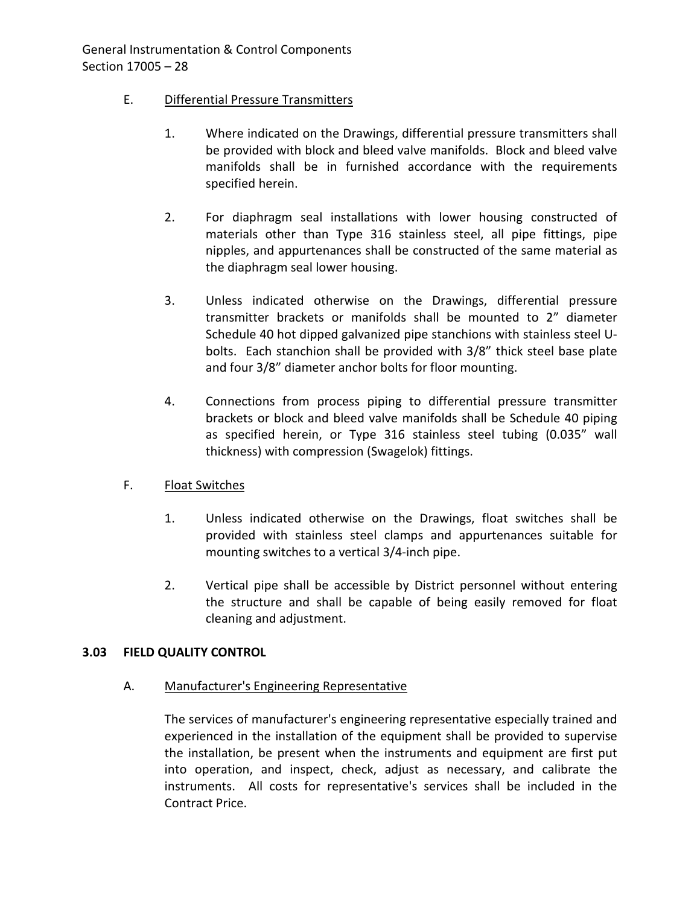## E. Differential Pressure Transmitters

- 1. Where indicated on the Drawings, differential pressure transmitters shall be provided with block and bleed valve manifolds. Block and bleed valve manifolds shall be in furnished accordance with the requirements specified herein.
- 2. For diaphragm seal installations with lower housing constructed of materials other than Type 316 stainless steel, all pipe fittings, pipe nipples, and appurtenances shall be constructed of the same material as the diaphragm seal lower housing.
- 3. Unless indicated otherwise on the Drawings, differential pressure transmitter brackets or manifolds shall be mounted to 2" diameter Schedule 40 hot dipped galvanized pipe stanchions with stainless steel Ubolts. Each stanchion shall be provided with 3/8" thick steel base plate and four 3/8" diameter anchor bolts for floor mounting.
- 4. Connections from process piping to differential pressure transmitter brackets or block and bleed valve manifolds shall be Schedule 40 piping as specified herein, or Type 316 stainless steel tubing (0.035" wall thickness) with compression (Swagelok) fittings.

## F. Float Switches

- 1. Unless indicated otherwise on the Drawings, float switches shall be provided with stainless steel clamps and appurtenances suitable for mounting switches to a vertical 3/4-inch pipe.
- 2. Vertical pipe shall be accessible by District personnel without entering the structure and shall be capable of being easily removed for float cleaning and adjustment.

## <span id="page-29-0"></span>**3.03 FIELD QUALITY CONTROL**

A. Manufacturer's Engineering Representative

The services of manufacturer's engineering representative especially trained and experienced in the installation of the equipment shall be provided to supervise the installation, be present when the instruments and equipment are first put into operation, and inspect, check, adjust as necessary, and calibrate the instruments. All costs for representative's services shall be included in the Contract Price.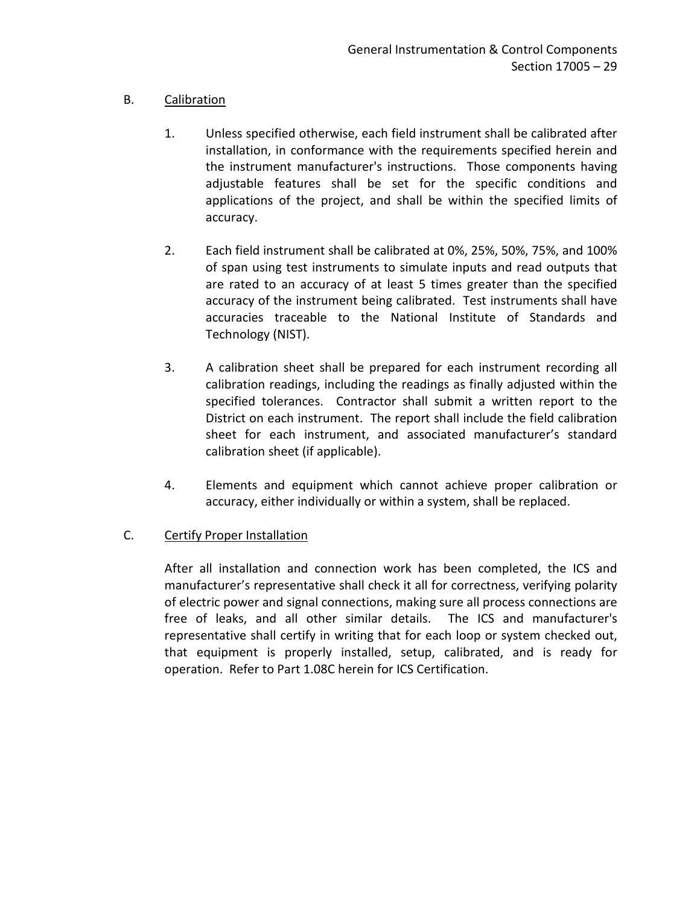# B. Calibration

- 1. Unless specified otherwise, each field instrument shall be calibrated after installation, in conformance with the requirements specified herein and the instrument manufacturer's instructions. Those components having adjustable features shall be set for the specific conditions and applications of the project, and shall be within the specified limits of accuracy.
- 2. Each field instrument shall be calibrated at 0%, 25%, 50%, 75%, and 100% of span using test instruments to simulate inputs and read outputs that are rated to an accuracy of at least 5 times greater than the specified accuracy of the instrument being calibrated. Test instruments shall have accuracies traceable to the National Institute of Standards and Technology (NIST).
- 3. A calibration sheet shall be prepared for each instrument recording all calibration readings, including the readings as finally adjusted within the specified tolerances. Contractor shall submit a written report to the District on each instrument. The report shall include the field calibration sheet for each instrument, and associated manufacturer's standard calibration sheet (if applicable).
- 4. Elements and equipment which cannot achieve proper calibration or accuracy, either individually or within a system, shall be replaced.

# C. Certify Proper Installation

After all installation and connection work has been completed, the ICS and manufacturer's representative shall check it all for correctness, verifying polarity of electric power and signal connections, making sure all process connections are free of leaks, and all other similar details. The ICS and manufacturer's representative shall certify in writing that for each loop or system checked out, that equipment is properly installed, setup, calibrated, and is ready for operation. Refer to Part 1.08C herein for ICS Certification.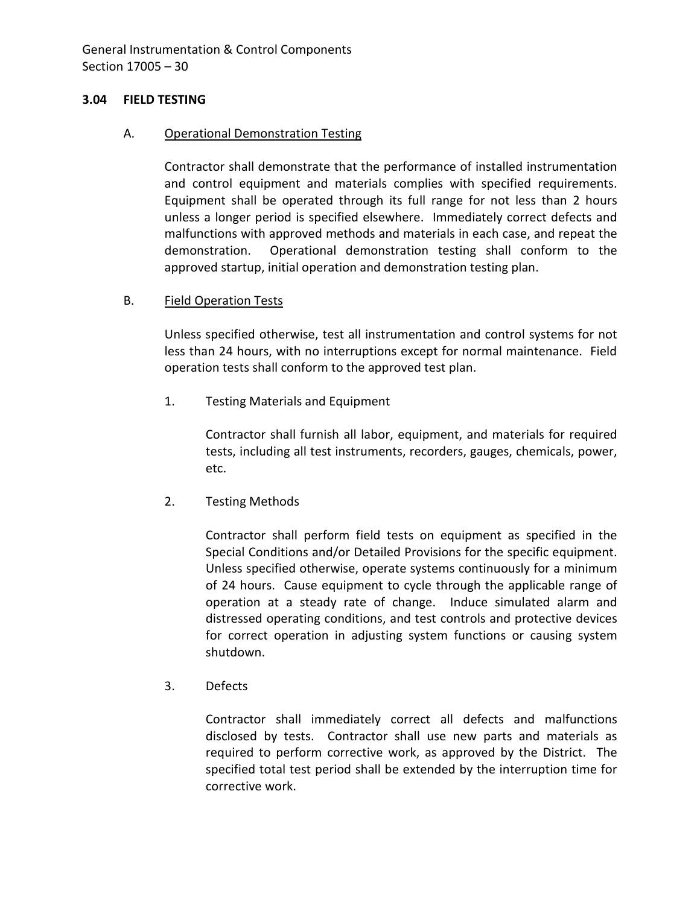## <span id="page-31-0"></span>**3.04 FIELD TESTING**

### A. Operational Demonstration Testing

Contractor shall demonstrate that the performance of installed instrumentation and control equipment and materials complies with specified requirements. Equipment shall be operated through its full range for not less than 2 hours unless a longer period is specified elsewhere. Immediately correct defects and malfunctions with approved methods and materials in each case, and repeat the demonstration. Operational demonstration testing shall conform to the approved startup, initial operation and demonstration testing plan.

## B. Field Operation Tests

Unless specified otherwise, test all instrumentation and control systems for not less than 24 hours, with no interruptions except for normal maintenance. Field operation tests shall conform to the approved test plan.

1. Testing Materials and Equipment

Contractor shall furnish all labor, equipment, and materials for required tests, including all test instruments, recorders, gauges, chemicals, power, etc.

2. Testing Methods

Contractor shall perform field tests on equipment as specified in the Special Conditions and/or Detailed Provisions for the specific equipment. Unless specified otherwise, operate systems continuously for a minimum of 24 hours. Cause equipment to cycle through the applicable range of operation at a steady rate of change. Induce simulated alarm and distressed operating conditions, and test controls and protective devices for correct operation in adjusting system functions or causing system shutdown.

3. Defects

Contractor shall immediately correct all defects and malfunctions disclosed by tests. Contractor shall use new parts and materials as required to perform corrective work, as approved by the District. The specified total test period shall be extended by the interruption time for corrective work.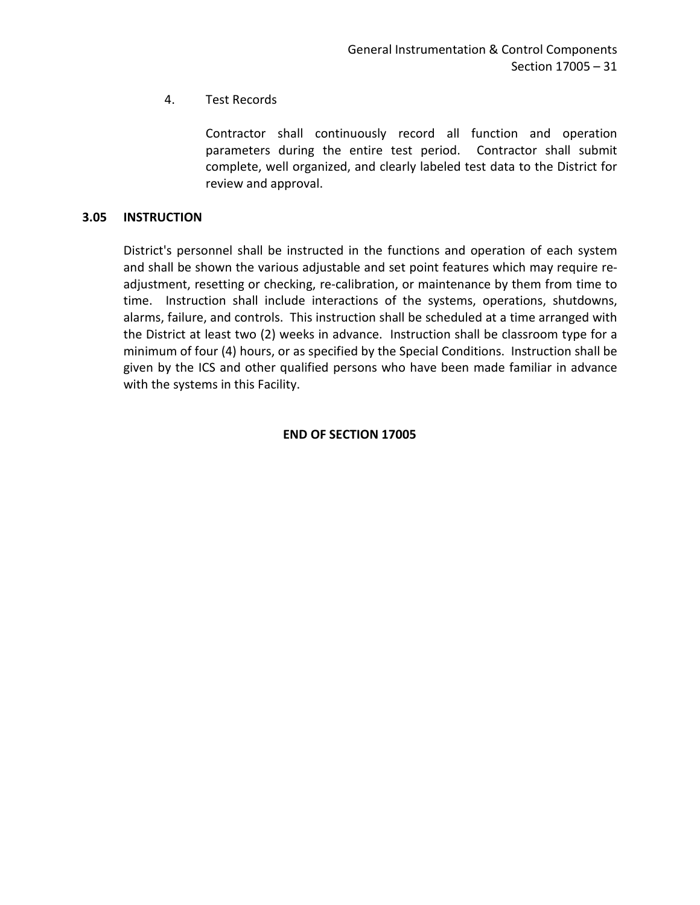# 4. Test Records

Contractor shall continuously record all function and operation parameters during the entire test period. Contractor shall submit complete, well organized, and clearly labeled test data to the District for review and approval.

## <span id="page-32-0"></span>**3.05 INSTRUCTION**

District's personnel shall be instructed in the functions and operation of each system and shall be shown the various adjustable and set point features which may require readjustment, resetting or checking, re-calibration, or maintenance by them from time to time. Instruction shall include interactions of the systems, operations, shutdowns, alarms, failure, and controls. This instruction shall be scheduled at a time arranged with the District at least two (2) weeks in advance. Instruction shall be classroom type for a minimum of four (4) hours, or as specified by the Special Conditions. Instruction shall be given by the ICS and other qualified persons who have been made familiar in advance with the systems in this Facility.

## **END OF SECTION 17005**